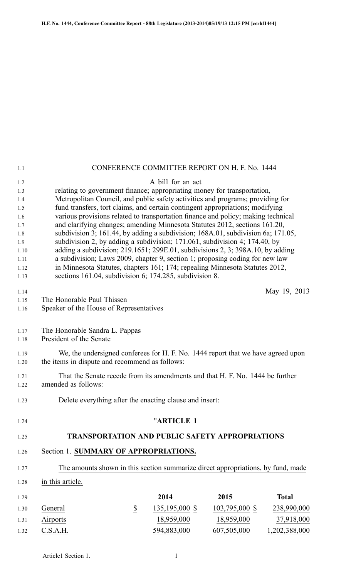| 1.1                                                  |                                                                                                                                                                                                                                                                                                                                                                                                                                                                                                                                                                                 |                  | CONFERENCE COMMITTEE REPORT ON H. F. No. 1444          |                |               |
|------------------------------------------------------|---------------------------------------------------------------------------------------------------------------------------------------------------------------------------------------------------------------------------------------------------------------------------------------------------------------------------------------------------------------------------------------------------------------------------------------------------------------------------------------------------------------------------------------------------------------------------------|------------------|--------------------------------------------------------|----------------|---------------|
| 1.2<br>1.3<br>1.4<br>1.5<br>1.6<br>1.7<br>1.8<br>1.9 | relating to government finance; appropriating money for transportation,<br>Metropolitan Council, and public safety activities and programs; providing for<br>fund transfers, tort claims, and certain contingent appropriations; modifying<br>various provisions related to transportation finance and policy; making technical<br>and clarifying changes; amending Minnesota Statutes 2012, sections 161.20,<br>subdivision 3; 161.44, by adding a subdivision; 168A.01, subdivision 6a; 171.05,<br>subdivision 2, by adding a subdivision; 171.061, subdivision 4; 174.40, by |                  | A bill for an act                                      |                |               |
| 1.10<br>1.11<br>1.12<br>1.13                         | adding a subdivision; 219.1651; 299E.01, subdivisions 2, 3; 398A.10, by adding<br>a subdivision; Laws 2009, chapter 9, section 1; proposing coding for new law<br>in Minnesota Statutes, chapters 161; 174; repealing Minnesota Statutes 2012,<br>sections 161.04, subdivision 6; 174.285, subdivision 8.                                                                                                                                                                                                                                                                       |                  |                                                        |                |               |
| 1.14                                                 |                                                                                                                                                                                                                                                                                                                                                                                                                                                                                                                                                                                 |                  |                                                        |                | May 19, 2013  |
| 1.15<br>1.16                                         | The Honorable Paul Thissen<br>Speaker of the House of Representatives                                                                                                                                                                                                                                                                                                                                                                                                                                                                                                           |                  |                                                        |                |               |
|                                                      |                                                                                                                                                                                                                                                                                                                                                                                                                                                                                                                                                                                 |                  |                                                        |                |               |
| 1.17<br>1.18                                         | The Honorable Sandra L. Pappas<br>President of the Senate                                                                                                                                                                                                                                                                                                                                                                                                                                                                                                                       |                  |                                                        |                |               |
| 1.19<br>1.20                                         | We, the undersigned conferees for H. F. No. 1444 report that we have agreed upon<br>the items in dispute and recommend as follows:                                                                                                                                                                                                                                                                                                                                                                                                                                              |                  |                                                        |                |               |
| 1.21<br>1.22                                         | That the Senate recede from its amendments and that H. F. No. 1444 be further<br>amended as follows:                                                                                                                                                                                                                                                                                                                                                                                                                                                                            |                  |                                                        |                |               |
| 1.23                                                 | Delete everything after the enacting clause and insert:                                                                                                                                                                                                                                                                                                                                                                                                                                                                                                                         |                  |                                                        |                |               |
| 1.24                                                 |                                                                                                                                                                                                                                                                                                                                                                                                                                                                                                                                                                                 |                  | "ARTICLE 1                                             |                |               |
| 1.25                                                 |                                                                                                                                                                                                                                                                                                                                                                                                                                                                                                                                                                                 |                  | <b>TRANSPORTATION AND PUBLIC SAFETY APPROPRIATIONS</b> |                |               |
| 1.26                                                 | Section 1. SUMMARY OF APPROPRIATIONS.                                                                                                                                                                                                                                                                                                                                                                                                                                                                                                                                           |                  |                                                        |                |               |
| 1.27                                                 | The amounts shown in this section summarize direct appropriations, by fund, made                                                                                                                                                                                                                                                                                                                                                                                                                                                                                                |                  |                                                        |                |               |
| 1.28                                                 | in this article.                                                                                                                                                                                                                                                                                                                                                                                                                                                                                                                                                                |                  |                                                        |                |               |
| 1.29                                                 |                                                                                                                                                                                                                                                                                                                                                                                                                                                                                                                                                                                 |                  | 2014                                                   | 2015           | <b>Total</b>  |
| 1.30                                                 | General                                                                                                                                                                                                                                                                                                                                                                                                                                                                                                                                                                         | $\underline{\$}$ | 135,195,000 \$                                         | 103,795,000 \$ | 238,990,000   |
| 1.31                                                 | Airports                                                                                                                                                                                                                                                                                                                                                                                                                                                                                                                                                                        |                  | 18,959,000                                             | 18,959,000     | 37,918,000    |
| 1.32                                                 | C.S.A.H.                                                                                                                                                                                                                                                                                                                                                                                                                                                                                                                                                                        |                  | 594,883,000                                            | 607,505,000    | 1,202,388,000 |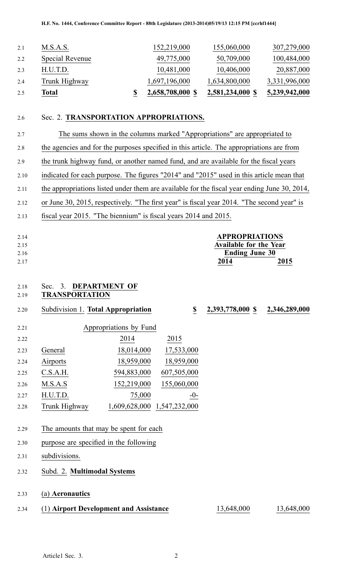| 2.4 | Trunk Highway   | 1,697,196,000 | 1,634,800,000 | 3,331,996,000 |
|-----|-----------------|---------------|---------------|---------------|
| 2.3 | H.U.T.D.        | 10,481,000    | 10,406,000    | 20,887,000    |
| 2.2 | Special Revenue | 49,775,000    | 50,709,000    | 100,484,000   |
| 2.1 | M.S.A.S.        | 152,219,000   | 155,060,000   | 307,279,000   |

## 2.6 Sec. 2. **TRANSPORTATION APPROPRIATIONS.**

2.7 The sums shown in the columns marked "Appropriations" are appropriated to 2.8 the agencies and for the purposes specified in this article. The appropriations are from 2.9 the trunk highway fund, or another named fund, and are available for the fiscal years 2.10 indicated for each purpose. The figures "2014" and "2015" used in this article mean that 2.11 the appropriations listed under them are available for the fiscal year ending June 30, 2014, 2.12 or June 30, 2015, respectively. "The first year" is fiscal year 2014. "The second year" is 2.13 fiscal year 2015. "The biennium" is fiscal years 2014 and 2015.

| 2.14<br>2.15 |                                    |                                        |                         | <b>APPROPRIATIONS</b><br><b>Available for the Year</b> |               |
|--------------|------------------------------------|----------------------------------------|-------------------------|--------------------------------------------------------|---------------|
| 2.16         |                                    |                                        |                         | <b>Ending June 30</b>                                  |               |
| 2.17         |                                    |                                        |                         | 2014                                                   | 2015          |
|              |                                    |                                        |                         |                                                        |               |
| 2.18         | Sec. 3. DEPARTMENT OF              |                                        |                         |                                                        |               |
| 2.19         | <b>TRANSPORTATION</b>              |                                        |                         |                                                        |               |
| 2.20         | Subdivision 1. Total Appropriation |                                        | $\overline{\mathbf{S}}$ | 2,393,778,000 \$                                       | 2,346,289,000 |
| 2.21         |                                    | Appropriations by Fund                 |                         |                                                        |               |
| 2.22         |                                    | 2014                                   | 2015                    |                                                        |               |
| 2.23         | General                            | 18,014,000                             | 17,533,000              |                                                        |               |
| 2.24         | Airports                           | 18,959,000                             | 18,959,000              |                                                        |               |
| 2.25         | C.S.A.H.                           | 594,883,000                            | 607,505,000             |                                                        |               |
| 2.26         | M.S.A.S                            | 152,219,000                            | 155,060,000             |                                                        |               |
| 2.27         | H.U.T.D.                           | 75,000                                 | $-0-$                   |                                                        |               |
| 2.28         | Trunk Highway                      | 1,609,628,000 1,547,232,000            |                         |                                                        |               |
|              |                                    |                                        |                         |                                                        |               |
| 2.29         |                                    | The amounts that may be spent for each |                         |                                                        |               |
| 2.30         |                                    | purpose are specified in the following |                         |                                                        |               |
| 2.31         | subdivisions.                      |                                        |                         |                                                        |               |
| 2.32         | Subd. 2. Multimodal Systems        |                                        |                         |                                                        |               |
|              |                                    |                                        |                         |                                                        |               |
| 2.33         | (a) Aeronautics                    |                                        |                         |                                                        |               |
| 2.34         |                                    | (1) Airport Development and Assistance |                         | 13,648,000                                             | 13,648,000    |
|              |                                    |                                        |                         |                                                        |               |
|              |                                    |                                        |                         |                                                        |               |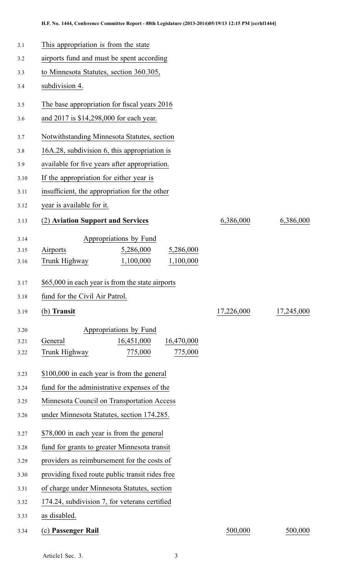| 3.1  | This appropriation is from the state             |            |            |  |  |
|------|--------------------------------------------------|------------|------------|--|--|
| 3.2  | airports fund and must be spent according        |            |            |  |  |
| 3.3  | to Minnesota Statutes, section 360.305,          |            |            |  |  |
| 3.4  | subdivision 4.                                   |            |            |  |  |
| 3.5  | The base appropriation for fiscal years 2016     |            |            |  |  |
| 3.6  | and 2017 is \$14,298,000 for each year.          |            |            |  |  |
| 3.7  | Notwithstanding Minnesota Statutes, section      |            |            |  |  |
| 3.8  | 16A.28, subdivision 6, this appropriation is     |            |            |  |  |
| 3.9  | available for five years after appropriation.    |            |            |  |  |
| 3.10 | If the appropriation for either year is          |            |            |  |  |
| 3.11 | insufficient, the appropriation for the other    |            |            |  |  |
| 3.12 | year is available for it.                        |            |            |  |  |
| 3.13 | (2) Aviation Support and Services                | 6,386,000  | 6,386,000  |  |  |
| 3.14 | Appropriations by Fund                           |            |            |  |  |
| 3.15 | 5,286,000<br>5,286,000<br>Airports               |            |            |  |  |
| 3.16 | Trunk Highway<br>1,100,000<br>1,100,000          |            |            |  |  |
| 3.17 | \$65,000 in each year is from the state airports |            |            |  |  |
| 3.18 | fund for the Civil Air Patrol.                   |            |            |  |  |
| 3.19 | (b) Transit                                      | 17,226,000 | 17,245,000 |  |  |
| 3.20 | Appropriations by Fund                           |            |            |  |  |
| 3.21 | General<br>16,451,000<br>16,470,000              |            |            |  |  |
| 3.22 | Trunk Highway<br>775,000<br>775,000              |            |            |  |  |
| 3.23 | \$100,000 in each year is from the general       |            |            |  |  |
| 3.24 | fund for the administrative expenses of the      |            |            |  |  |
| 3.25 | Minnesota Council on Transportation Access       |            |            |  |  |
| 3.26 | under Minnesota Statutes, section 174.285.       |            |            |  |  |
| 3.27 | \$78,000 in each year is from the general        |            |            |  |  |
| 3.28 | fund for grants to greater Minnesota transit     |            |            |  |  |
| 3.29 | providers as reimbursement for the costs of      |            |            |  |  |
| 3.30 | providing fixed route public transit rides free  |            |            |  |  |
| 3.31 | of charge under Minnesota Statutes, section      |            |            |  |  |
| 3.32 | 174.24, subdivision 7, for veterans certified    |            |            |  |  |
| 3.33 | as disabled.                                     |            |            |  |  |
| 3.34 | (c) Passenger Rail                               | 500,000    | 500,000    |  |  |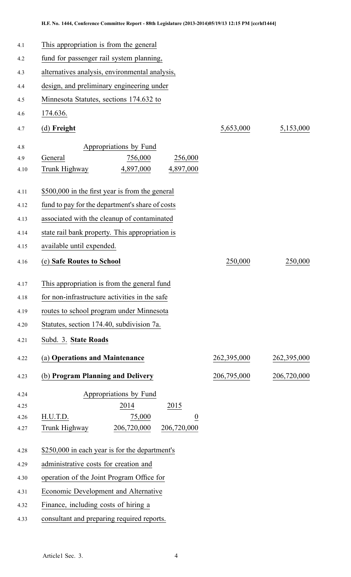| 4.1  | This appropriation is from the general          |             |             |  |  |  |
|------|-------------------------------------------------|-------------|-------------|--|--|--|
| 4.2  | fund for passenger rail system planning,        |             |             |  |  |  |
| 4.3  | alternatives analysis, environmental analysis,  |             |             |  |  |  |
| 4.4  | design, and preliminary engineering under       |             |             |  |  |  |
| 4.5  | Minnesota Statutes, sections 174.632 to         |             |             |  |  |  |
| 4.6  | 174.636.                                        |             |             |  |  |  |
| 4.7  | (d) Freight                                     | 5,653,000   | 5,153,000   |  |  |  |
| 4.8  | Appropriations by Fund                          |             |             |  |  |  |
| 4.9  | 756,000<br>256,000<br>General                   |             |             |  |  |  |
| 4.10 | 4,897,000<br>4,897,000<br>Trunk Highway         |             |             |  |  |  |
| 4.11 | \$500,000 in the first year is from the general |             |             |  |  |  |
| 4.12 | fund to pay for the department's share of costs |             |             |  |  |  |
| 4.13 | associated with the cleanup of contaminated     |             |             |  |  |  |
| 4.14 | state rail bank property. This appropriation is |             |             |  |  |  |
| 4.15 | available until expended.                       |             |             |  |  |  |
| 4.16 | (e) Safe Routes to School                       | 250,000     | 250,000     |  |  |  |
| 4.17 | This appropriation is from the general fund     |             |             |  |  |  |
| 4.18 | for non-infrastructure activities in the safe   |             |             |  |  |  |
| 4.19 | routes to school program under Minnesota        |             |             |  |  |  |
| 4.20 | Statutes, section 174.40, subdivision 7a.       |             |             |  |  |  |
| 4.21 | Subd. 3. State Roads                            |             |             |  |  |  |
| 4.22 | (a) Operations and Maintenance                  | 262,395,000 | 262,395,000 |  |  |  |
| 4.23 | (b) Program Planning and Delivery               | 206,795,000 | 206,720,000 |  |  |  |
| 4.24 | Appropriations by Fund                          |             |             |  |  |  |
| 4.25 | 2014<br>2015                                    |             |             |  |  |  |
| 4.26 | H.U.T.D.<br>75,000<br>$\overline{0}$            |             |             |  |  |  |
| 4.27 | 206,720,000<br>206,720,000<br>Trunk Highway     |             |             |  |  |  |
| 4.28 | \$250,000 in each year is for the department's  |             |             |  |  |  |
| 4.29 | administrative costs for creation and           |             |             |  |  |  |
| 4.30 | operation of the Joint Program Office for       |             |             |  |  |  |
| 4.31 | Economic Development and Alternative            |             |             |  |  |  |
| 4.32 | Finance, including costs of hiring a            |             |             |  |  |  |

4.33 consultant and preparing required reports.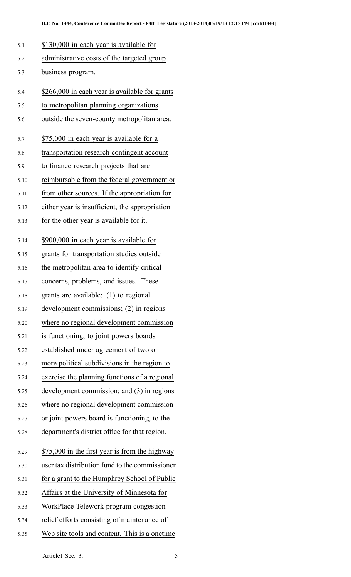| 5.1  | \$130,000 in each year is available for        |
|------|------------------------------------------------|
| 5.2  | administrative costs of the targeted group     |
| 5.3  | business program.                              |
| 5.4  | \$266,000 in each year is available for grants |
| 5.5  | to metropolitan planning organizations         |
| 5.6  | outside the seven-county metropolitan area.    |
| 5.7  | \$75,000 in each year is available for a       |
| 5.8  | transportation research contingent account     |
| 5.9  | to finance research projects that are          |
| 5.10 | reimbursable from the federal government or    |
| 5.11 | from other sources. If the appropriation for   |
| 5.12 | either year is insufficient, the appropriation |
| 5.13 | for the other year is available for it.        |
| 5.14 | \$900,000 in each year is available for        |
| 5.15 | grants for transportation studies outside      |
| 5.16 | the metropolitan area to identify critical     |
| 5.17 | concerns, problems, and issues. These          |
| 5.18 | grants are available: (1) to regional          |
| 5.19 | development commissions; (2) in regions        |
| 5.20 | where no regional development commission       |
| 5.21 | is functioning, to joint powers boards         |
| 5.22 | established under agreement of two or          |
| 5.23 | more political subdivisions in the region to   |
| 5.24 | exercise the planning functions of a regional  |
| 5.25 | development commission; and (3) in regions     |
| 5.26 | where no regional development commission       |
| 5.27 | or joint powers board is functioning, to the   |
| 5.28 | department's district office for that region.  |
| 5.29 | \$75,000 in the first year is from the highway |
| 5.30 | user tax distribution fund to the commissioner |
| 5.31 | for a grant to the Humphrey School of Public   |
| 5.32 | Affairs at the University of Minnesota for     |
| 5.33 | WorkPlace Telework program congestion          |
| 5.34 | relief efforts consisting of maintenance of    |
| 5.35 | Web site tools and content. This is a onetime. |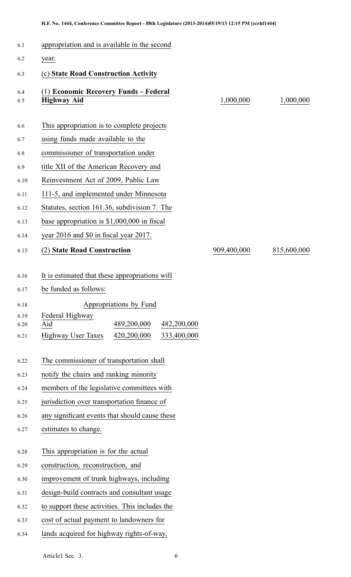| 6.1          | appropriation and is available in the second                |             |             |
|--------------|-------------------------------------------------------------|-------------|-------------|
| 6.2          | year.                                                       |             |             |
| 6.3          | (c) State Road Construction Activity                        |             |             |
| 6.4<br>6.5   | (1) Economic Recovery Funds - Federal<br><b>Highway Aid</b> | 1,000,000   | 1,000,000   |
| 6.6          | This appropriation is to complete projects                  |             |             |
| 6.7          | using funds made available to the                           |             |             |
| 6.8          | commissioner of transportation under                        |             |             |
| 6.9          | title XII of the American Recovery and                      |             |             |
| 6.10         | Reinvestment Act of 2009, Public Law                        |             |             |
| 6.11         | 111-5, and implemented under Minnesota                      |             |             |
| 6.12         | Statutes, section 161.36, subdivision 7. The                |             |             |
| 6.13         | base appropriation is $$1,000,000$ in fiscal                |             |             |
| 6.14         | year 2016 and \$0 in fiscal year 2017.                      |             |             |
| 6.15         | (2) State Road Construction                                 | 909,400,000 | 815,600,000 |
|              |                                                             |             |             |
| 6.16         | It is estimated that these appropriations will              |             |             |
| 6.17         | be funded as follows:                                       |             |             |
| 6.18         | Appropriations by Fund                                      |             |             |
| 6.19<br>6.20 | Federal Highway<br>489,200,000<br>Aid<br>482,200,000        |             |             |
| 6.21         | <b>Highway User Taxes</b><br>420,200,000<br>333,400,000     |             |             |
|              |                                                             |             |             |
| 6.22         | The commissioner of transportation shall                    |             |             |
| 6.23         | notify the chairs and ranking minority                      |             |             |
| 6.24         | members of the legislative committees with                  |             |             |
| 6.25         | jurisdiction over transportation finance of                 |             |             |
| 6.26         | any significant events that should cause these              |             |             |
| 6.27         | estimates to change.                                        |             |             |
|              |                                                             |             |             |
| 6.28         | This appropriation is for the actual                        |             |             |
| 6.29         | construction, reconstruction, and                           |             |             |
| 6.30         | improvement of trunk highways, including                    |             |             |
| 6.31         | design-build contracts and consultant usage                 |             |             |
| 6.32         | to support these activities. This includes the              |             |             |
| 6.33         | cost of actual payment to landowners for                    |             |             |
| 6.34         | lands acquired for highway rights-of-way,                   |             |             |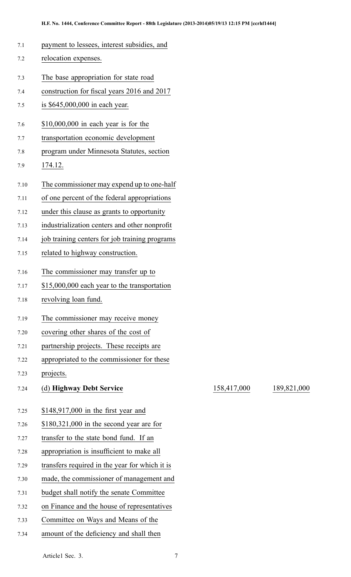- 7.1 paymen<sup>t</sup> to lessees, interest subsidies, and
- 7.2 relocation expenses.
- 7.3 The base appropriation for state road
- 7.4 construction for fiscal years 2016 and 2017
- 7.5 is \$645,000,000 in each year.
- 7.6 \$10,000,000 in each year is for the
- 7.7 transportation economic development
- 7.8 program under Minnesota Statutes, section
- 7.9 174.12.
- 7.10 The commissioner may expend up to one-half
- 7.11 of one percen<sup>t</sup> of the federal appropriations
- 7.12 under this clause as grants to opportunity
- 7.13 industrialization centers and other nonprofit
- 7.14 job training centers for job training programs
- 7.15 related to highway construction.
- 7.16 The commissioner may transfer up to
- 7.17 \$15,000,000 each year to the transportation
- 7.18 revolving loan fund.
- 7.19 The commissioner may receive money
- 7.20 covering other shares of the cost of
- 7.21 partnership projects. These receipts are
- 7.22 appropriated to the commissioner for these
- 7.23 projects.
- 7.24 (d) **Highway Debt Service** 158,417,000 189,821,000
	- 7.25 \$148,917,000 in the first year and
	- 7.26 \$180,321,000 in the second year are for
	- 7.27 transfer to the state bond fund. If an
	- 7.28 appropriation is insufficient to make all
	- 7.29 transfers required in the year for which it is
	- 7.30 made, the commissioner of managemen<sup>t</sup> and
	- 7.31 budget shall notify the senate Committee
	- 7.32 on Finance and the house of representatives
	- 7.33 Committee on Ways and Means of the
	- 7.34 amount of the deficiency and shall then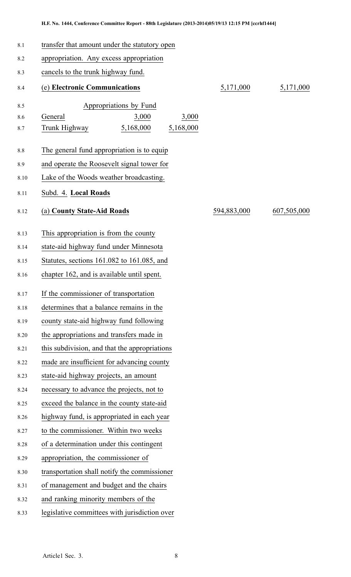| 8.1     | transfer that amount under the statutory open |           |             |             |  |
|---------|-----------------------------------------------|-----------|-------------|-------------|--|
| 8.2     | appropriation. Any excess appropriation       |           |             |             |  |
| 8.3     | cancels to the trunk highway fund.            |           |             |             |  |
| 8.4     | (e) Electronic Communications                 |           | 5,171,000   | 5,171,000   |  |
| 8.5     | Appropriations by Fund                        |           |             |             |  |
| 8.6     | General<br>3,000                              | 3,000     |             |             |  |
| 8.7     | 5,168,000<br>Trunk Highway                    | 5,168,000 |             |             |  |
| $8.8\,$ | The general fund appropriation is to equip    |           |             |             |  |
| 8.9     | and operate the Roosevelt signal tower for    |           |             |             |  |
| 8.10    | Lake of the Woods weather broadcasting.       |           |             |             |  |
| 8.11    | Subd. 4. Local Roads                          |           |             |             |  |
| 8.12    | (a) County State-Aid Roads                    |           | 594,883,000 | 607,505,000 |  |
| 8.13    | This appropriation is from the county         |           |             |             |  |
| 8.14    | state-aid highway fund under Minnesota        |           |             |             |  |
| 8.15    | Statutes, sections 161.082 to 161.085, and    |           |             |             |  |
| 8.16    | chapter 162, and is available until spent.    |           |             |             |  |
| 8.17    | If the commissioner of transportation         |           |             |             |  |
| 8.18    | determines that a balance remains in the      |           |             |             |  |
| 8.19    | county state-aid highway fund following       |           |             |             |  |
| 8.20    | the appropriations and transfers made in      |           |             |             |  |
| 8.21    | this subdivision, and that the appropriations |           |             |             |  |
| 8.22    | made are insufficient for advancing county    |           |             |             |  |
| 8.23    | state-aid highway projects, an amount         |           |             |             |  |
| 8.24    | necessary to advance the projects, not to     |           |             |             |  |
| 8.25    | exceed the balance in the county state-aid    |           |             |             |  |
| 8.26    | highway fund, is appropriated in each year    |           |             |             |  |
| 8.27    | to the commissioner. Within two weeks         |           |             |             |  |
| 8.28    | of a determination under this contingent      |           |             |             |  |
| 8.29    | appropriation, the commissioner of            |           |             |             |  |
| 8.30    | transportation shall notify the commissioner  |           |             |             |  |
| 8.31    | of management and budget and the chairs       |           |             |             |  |
| 8.32    | and ranking minority members of the           |           |             |             |  |
| 8.33    | legislative committees with jurisdiction over |           |             |             |  |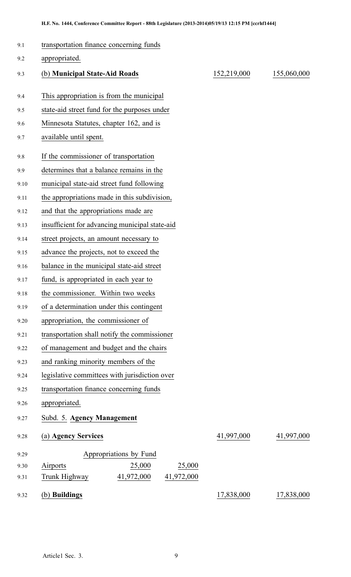| 9.1  | transportation finance concerning funds        |             |             |  |  |
|------|------------------------------------------------|-------------|-------------|--|--|
| 9.2  | appropriated.                                  |             |             |  |  |
| 9.3  | (b) Municipal State-Aid Roads                  | 152,219,000 | 155,060,000 |  |  |
| 9.4  | This appropriation is from the municipal       |             |             |  |  |
| 9.5  | state-aid street fund for the purposes under   |             |             |  |  |
| 9.6  | Minnesota Statutes, chapter 162, and is        |             |             |  |  |
| 9.7  | available until spent.                         |             |             |  |  |
| 9.8  | If the commissioner of transportation          |             |             |  |  |
| 9.9  | determines that a balance remains in the       |             |             |  |  |
| 9.10 | municipal state-aid street fund following      |             |             |  |  |
| 9.11 | the appropriations made in this subdivision,   |             |             |  |  |
| 9.12 | and that the appropriations made are           |             |             |  |  |
| 9.13 | insufficient for advancing municipal state-aid |             |             |  |  |
| 9.14 | street projects, an amount necessary to        |             |             |  |  |
| 9.15 | advance the projects, not to exceed the        |             |             |  |  |
| 9.16 | balance in the municipal state-aid street      |             |             |  |  |
| 9.17 | fund, is appropriated in each year to          |             |             |  |  |
| 9.18 | the commissioner. Within two weeks             |             |             |  |  |
| 9.19 | of a determination under this contingent       |             |             |  |  |
| 9.20 | appropriation, the commissioner of             |             |             |  |  |
| 9.21 | transportation shall notify the commissioner   |             |             |  |  |
| 9.22 | of management and budget and the chairs        |             |             |  |  |
| 9.23 | and ranking minority members of the            |             |             |  |  |
| 9.24 | legislative committees with jurisdiction over  |             |             |  |  |
| 9.25 | transportation finance concerning funds        |             |             |  |  |
| 9.26 | appropriated.                                  |             |             |  |  |
| 9.27 | Subd. 5. Agency Management                     |             |             |  |  |
| 9.28 | (a) Agency Services                            | 41,997,000  | 41,997,000  |  |  |
| 9.29 | Appropriations by Fund                         |             |             |  |  |
| 9.30 | 25,000<br>25,000<br>Airports                   |             |             |  |  |
| 9.31 | 41,972,000<br>41,972,000<br>Trunk Highway      |             |             |  |  |
| 9.32 | (b) Buildings                                  | 17,838,000  | 17,838,000  |  |  |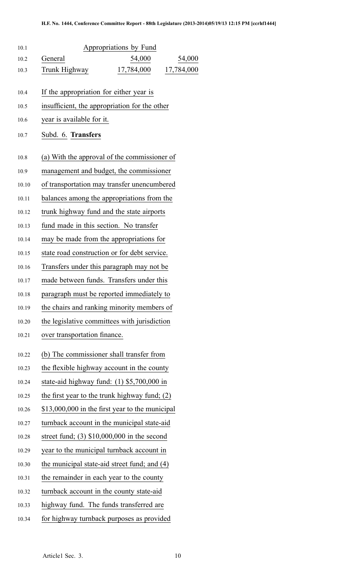| 10.1  | Appropriations by Fund                          |
|-------|-------------------------------------------------|
| 10.2  | General<br>54,000<br>54,000                     |
| 10.3  | 17,784,000<br>Trunk Highway<br>17,784,000       |
| 10.4  | If the appropriation for either year is         |
| 10.5  | insufficient, the appropriation for the other   |
| 10.6  | year is available for it.                       |
| 10.7  | Subd. 6. Transfers                              |
| 10.8  | (a) With the approval of the commissioner of    |
| 10.9  | management and budget, the commissioner         |
| 10.10 | of transportation may transfer unencumbered     |
| 10.11 | balances among the appropriations from the      |
| 10.12 | trunk highway fund and the state airports       |
| 10.13 | fund made in this section. No transfer          |
| 10.14 | may be made from the appropriations for         |
| 10.15 | state road construction or for debt service.    |
| 10.16 | Transfers under this paragraph may not be       |
| 10.17 | made between funds. Transfers under this        |
| 10.18 | paragraph must be reported immediately to       |
| 10.19 | the chairs and ranking minority members of      |
| 10.20 | the legislative committees with jurisdiction    |
| 10.21 | over transportation finance.                    |
| 10.22 | (b) The commissioner shall transfer from        |
| 10.23 | the flexible highway account in the county      |
| 10.24 | state-aid highway fund: $(1)$ \$5,700,000 in    |
| 10.25 | the first year to the trunk highway fund; (2)   |
| 10.26 | \$13,000,000 in the first year to the municipal |
| 10.27 | turnback account in the municipal state-aid     |
| 10.28 | street fund; $(3)$ \$10,000,000 in the second   |
| 10.29 | year to the municipal turnback account in       |
| 10.30 | the municipal state-aid street fund; and (4)    |
| 10.31 | the remainder in each year to the county        |
| 10.32 | turnback account in the county state-aid        |
| 10.33 | highway fund. The funds transferred are         |
| 10.34 | for highway turnback purposes as provided       |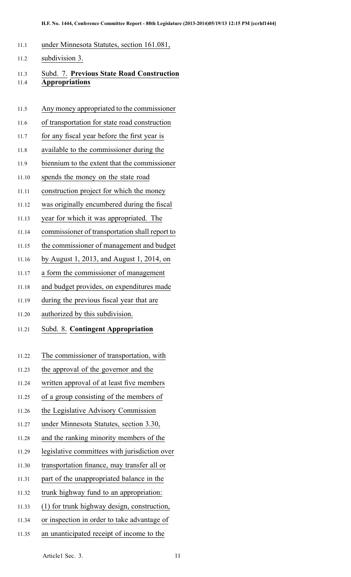- 11.1 under Minnesota Statutes, section 161.081,
- 11.2 subdivision 3.

## 11.3 Subd. 7. **Previous State Road Construction** 11.4 **Appropriations**

- 11.5 Any money appropriated to the commissioner
- 11.6 of transportation for state road construction
- 11.7 for any fiscal year before the first year is
- 11.8 available to the commissioner during the
- 11.9 biennium to the extent that the commissioner
- 11.10 spends the money on the state road
- 11.11 construction project for which the money
- 11.12 was originally encumbered during the fiscal
- 11.13 year for which it was appropriated. The
- 11.14 commissioner of transportation shall repor<sup>t</sup> to
- 11.15 the commissioner of managemen<sup>t</sup> and budget
- 11.16 by August 1, 2013, and August 1, 2014, on
- 11.17 <sup>a</sup> form the commissioner of managemen<sup>t</sup>
- 11.18 and budget provides, on expenditures made
- 11.19 during the previous fiscal year that are
- 11.20 authorized by this subdivision.
- 11.21 Subd. 8. **Contingent Appropriation**
- 11.22 The commissioner of transportation, with
- 11.23 the approval of the governor and the
- 11.24 written approval of at least five members
- 11.25 of <sup>a</sup> group consisting of the members of
- 11.26 the Legislative Advisory Commission
- 11.27 under Minnesota Statutes, section 3.30,
- 11.28 and the ranking minority members of the
- 11.29 legislative committees with jurisdiction over
- 11.30 transportation finance, may transfer all or
- 11.31 par<sup>t</sup> of the unappropriated balance in the
- 11.32 trunk highway fund to an appropriation:
- 11.33 (1) for trunk highway design, construction,
- 11.34 or inspection in order to take advantage of
- 11.35 an unanticipated receipt of income to the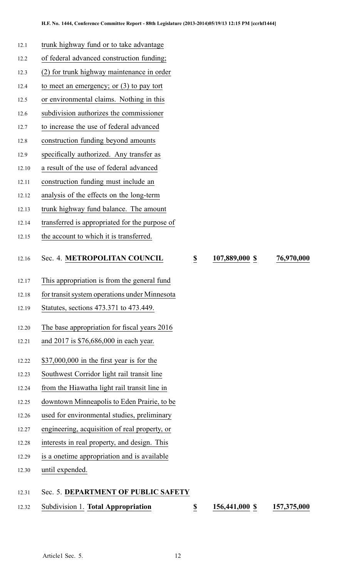- 12.1 trunk highway fund or to take advantage 12.2 of federal advanced construction funding;
- 
- 12.3 (2) for trunk highway maintenance in order
- 12.4 to meet an emergency; or (3) to pay tort
- 12.5 or environmental claims. Nothing in this
- 12.6 subdivision authorizes the commissioner
- 12.7 to increase the use of federal advanced
- 12.8 construction funding beyond amounts
- 12.9 specifically authorized. Any transfer as
- 12.10 <sup>a</sup> result of the use of federal advanced
- 12.11 construction funding must include an
- 12.12 analysis of the effects on the long-term
- 12.13 trunk highway fund balance. The amount
- 12.14 transferred is appropriated for the purpose of
- 12.15 the account to which it is transferred.

#### 12.16 Sec. 4. **METROPOLITAN COUNCIL \$ 107,889,000 \$ 76,970,000**

- 12.17 This appropriation is from the general fund
- 12.18 for transit system operations under Minnesota
- 12.19 Statutes, sections 473.371 to 473.449.
- 12.20 The base appropriation for fiscal years 2016
- 12.21 and 2017 is \$76,686,000 in each year.
- 12.22 \$37,000,000 in the first year is for the
- 12.23 Southwest Corridor light rail transit line
- 12.24 from the Hiawatha light rail transit line in
- 12.25 downtown Minneapolis to Eden Prairie, to be
- 12.26 used for environmental studies, preliminary
- 12.27 engineering, acquisition of real property, or
- 12.28 interests in real property, and design. This
- 12.29 is <sup>a</sup> onetime appropriation and is available
- 12.30 until expended.

#### 12.31 Sec. 5. **DEPARTMENT OF PUBLIC SAFETY**

12.32 Subdivision 1. **Total Appropriation \$ 156,441,000 \$ 157,375,000**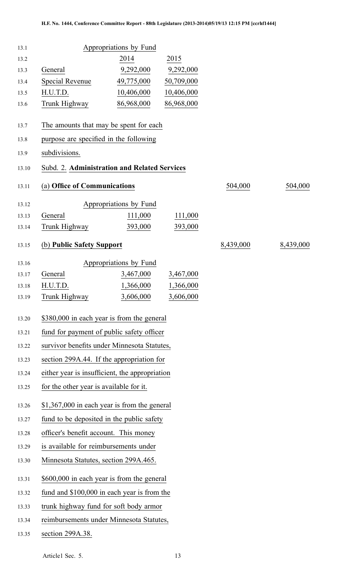| 13.1  |                                                | Appropriations by Fund |            |           |           |
|-------|------------------------------------------------|------------------------|------------|-----------|-----------|
| 13.2  |                                                | 2014                   | 2015       |           |           |
| 13.3  | General                                        | 9,292,000              | 9,292,000  |           |           |
| 13.4  | Special Revenue                                | 49,775,000             | 50,709,000 |           |           |
| 13.5  | H.U.T.D.                                       | 10,406,000             | 10,406,000 |           |           |
| 13.6  | Trunk Highway                                  | 86,968,000             | 86,968,000 |           |           |
| 13.7  | The amounts that may be spent for each         |                        |            |           |           |
| 13.8  | purpose are specified in the following         |                        |            |           |           |
| 13.9  | subdivisions.                                  |                        |            |           |           |
| 13.10 | Subd. 2. Administration and Related Services   |                        |            |           |           |
| 13.11 | (a) Office of Communications                   |                        |            | 504,000   | 504,000   |
| 13.12 |                                                | Appropriations by Fund |            |           |           |
| 13.13 | General                                        | 111,000                | 111,000    |           |           |
| 13.14 | Trunk Highway                                  | 393,000                | 393,000    |           |           |
| 13.15 | (b) Public Safety Support                      |                        |            | 8,439,000 | 8,439,000 |
| 13.16 |                                                | Appropriations by Fund |            |           |           |
| 13.17 | General                                        | 3,467,000              | 3,467,000  |           |           |
| 13.18 | H.U.T.D.                                       | 1,366,000              | 1,366,000  |           |           |
| 13.19 | Trunk Highway                                  | 3,606,000              | 3,606,000  |           |           |
| 13.20 | \$380,000 in each year is from the general     |                        |            |           |           |
| 13.21 | fund for payment of public safety officer      |                        |            |           |           |
| 13.22 | survivor benefits under Minnesota Statutes,    |                        |            |           |           |
| 13.23 | section 299A.44. If the appropriation for      |                        |            |           |           |
| 13.24 | either year is insufficient, the appropriation |                        |            |           |           |
| 13.25 | for the other year is available for it.        |                        |            |           |           |
| 13.26 | $$1,367,000$ in each year is from the general  |                        |            |           |           |
| 13.27 | fund to be deposited in the public safety      |                        |            |           |           |
| 13.28 | officer's benefit account. This money          |                        |            |           |           |
| 13.29 | is available for reimbursements under          |                        |            |           |           |
| 13.30 | Minnesota Statutes, section 299A.465.          |                        |            |           |           |
| 13.31 | \$600,000 in each year is from the general     |                        |            |           |           |
| 13.32 | fund and \$100,000 in each year is from the    |                        |            |           |           |
| 13.33 | trunk highway fund for soft body armor         |                        |            |           |           |
| 13.34 | reimbursements under Minnesota Statutes,       |                        |            |           |           |
|       |                                                |                        |            |           |           |

13.35 section 299A.38.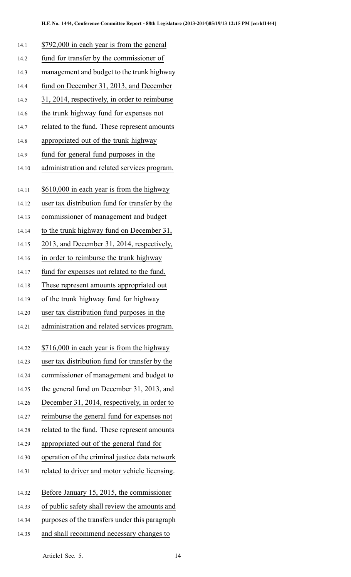| 14.1  | \$792,000 in each year is from the general     |
|-------|------------------------------------------------|
| 14.2  | fund for transfer by the commissioner of       |
| 14.3  | management and budget to the trunk highway     |
| 14.4  | fund on December 31, 2013, and December        |
| 14.5  | 31, 2014, respectively, in order to reimburse  |
| 14.6  | the trunk highway fund for expenses not        |
| 14.7  | related to the fund. These represent amounts   |
| 14.8  | appropriated out of the trunk highway          |
| 14.9  | fund for general fund purposes in the          |
| 14.10 | administration and related services program.   |
|       |                                                |
| 14.11 | \$610,000 in each year is from the highway     |
| 14.12 | user tax distribution fund for transfer by the |
| 14.13 | commissioner of management and budget          |
| 14.14 | to the trunk highway fund on December 31,      |
| 14.15 | 2013, and December 31, 2014, respectively,     |
| 14.16 | in order to reimburse the trunk highway        |
| 14.17 | fund for expenses not related to the fund.     |
| 14.18 | These represent amounts appropriated out       |
| 14.19 | of the trunk highway fund for highway          |
| 14.20 | user tax distribution fund purposes in the     |
| 14.21 | administration and related services program.   |
| 14.22 | \$716,000 in each year is from the highway     |
| 14.23 | user tax distribution fund for transfer by the |
| 14.24 | commissioner of management and budget to       |
| 14.25 | the general fund on December 31, 2013, and     |
| 14.26 | December 31, 2014, respectively, in order to   |
| 14.27 | reimburse the general fund for expenses not    |
| 14.28 | related to the fund. These represent amounts   |
| 14.29 | appropriated out of the general fund for       |
| 14.30 | operation of the criminal justice data network |
| 14.31 | related to driver and motor vehicle licensing. |
| 14.32 | Before January 15, 2015, the commissioner      |
| 14.33 | of public safety shall review the amounts and  |
| 14.34 | purposes of the transfers under this paragraph |
| 14.35 | and shall recommend necessary changes to       |
|       |                                                |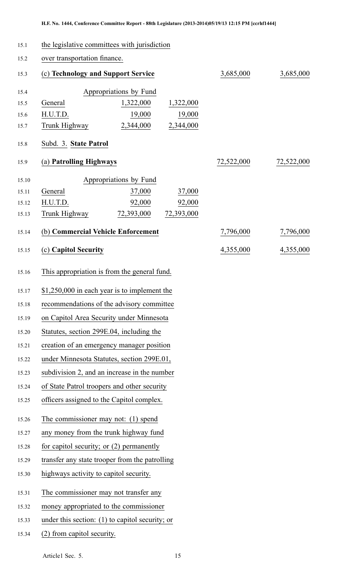| 15.1                             | the legislative committees with jurisdiction      |                                                                      |                     |            |            |
|----------------------------------|---------------------------------------------------|----------------------------------------------------------------------|---------------------|------------|------------|
| 15.2                             | over transportation finance.                      |                                                                      |                     |            |            |
| 15.3                             | (c) Technology and Support Service                |                                                                      |                     | 3,685,000  | 3,685,000  |
| 15.4<br>15.5<br>15.6<br>15.7     | General<br>H.U.T.D.<br>Trunk Highway              | Appropriations by Fund<br>1,322,000<br>19,000<br>2,344,000 2,344,000 | 1,322,000<br>19,000 |            |            |
| 15.8                             | Subd. 3. State Patrol                             |                                                                      |                     |            |            |
| 15.9                             | (a) Patrolling Highways                           |                                                                      |                     | 72,522,000 | 72,522,000 |
| 15.10<br>15.11<br>15.12<br>15.13 | General<br>H.U.T.D.<br>Trunk Highway              | Appropriations by Fund<br>37,000<br>92,000<br>72,393,000 72,393,000  | 37,000<br>92,000    |            |            |
| 15.14                            | (b) Commercial Vehicle Enforcement                |                                                                      |                     | 7,796,000  | 7,796,000  |
| 15.15                            | (c) Capitol Security                              |                                                                      |                     | 4,355,000  | 4,355,000  |
| 15.16                            | This appropriation is from the general fund.      |                                                                      |                     |            |            |
| 15.17                            | $$1,250,000$ in each year is to implement the     |                                                                      |                     |            |            |
| 15.18                            | recommendations of the advisory committee         |                                                                      |                     |            |            |
| 15.19                            | on Capitol Area Security under Minnesota          |                                                                      |                     |            |            |
| 15.20                            | Statutes, section 299E.04, including the          |                                                                      |                     |            |            |
| 15.21                            | creation of an emergency manager position         |                                                                      |                     |            |            |
| 15.22                            | under Minnesota Statutes, section 299E.01,        |                                                                      |                     |            |            |
| 15.23                            | subdivision 2, and an increase in the number      |                                                                      |                     |            |            |
| 15.24                            |                                                   | of State Patrol troopers and other security                          |                     |            |            |
| 15.25                            | officers assigned to the Capitol complex.         |                                                                      |                     |            |            |
| 15.26                            | The commissioner may not: (1) spend               |                                                                      |                     |            |            |
| 15.27                            | any money from the trunk highway fund             |                                                                      |                     |            |            |
| 15.28                            | for capitol security; or (2) permanently          |                                                                      |                     |            |            |
| 15.29                            | transfer any state trooper from the patrolling    |                                                                      |                     |            |            |
| 15.30                            | highways activity to capitol security.            |                                                                      |                     |            |            |
| 15.31                            | The commissioner may not transfer any             |                                                                      |                     |            |            |
| 15.32                            | money appropriated to the commissioner            |                                                                      |                     |            |            |
| 15.33                            | under this section: $(1)$ to capitol security; or |                                                                      |                     |            |            |
| 15.34                            | (2) from capitol security.                        |                                                                      |                     |            |            |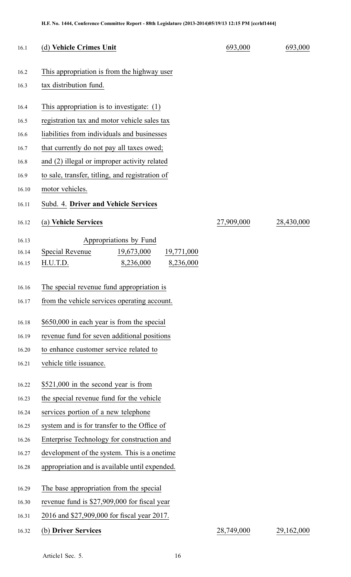| 16.1  | (d) Vehicle Crimes Unit                         | 693,000    | 693,000    |
|-------|-------------------------------------------------|------------|------------|
| 16.2  | This appropriation is from the highway user     |            |            |
| 16.3  | tax distribution fund.                          |            |            |
| 16.4  | This appropriation is to investigate: $(1)$     |            |            |
| 16.5  | registration tax and motor vehicle sales tax    |            |            |
| 16.6  | liabilities from individuals and businesses     |            |            |
| 16.7  | that currently do not pay all taxes owed;       |            |            |
| 16.8  | and (2) illegal or improper activity related    |            |            |
| 16.9  | to sale, transfer, titling, and registration of |            |            |
| 16.10 | motor vehicles.                                 |            |            |
| 16.11 | Subd. 4. Driver and Vehicle Services            |            |            |
| 16.12 | (a) Vehicle Services                            | 27,909,000 | 28,430,000 |
| 16.13 | Appropriations by Fund                          |            |            |
| 16.14 | Special Revenue<br>19,673,000<br>19,771,000     |            |            |
| 16.15 | H.U.T.D.<br>8,236,000<br>8,236,000              |            |            |
| 16.16 | The special revenue fund appropriation is       |            |            |
|       | from the vehicle services operating account.    |            |            |
| 16.17 |                                                 |            |            |
| 16.18 | \$650,000 in each year is from the special      |            |            |
| 16.19 | revenue fund for seven additional positions     |            |            |
| 16.20 | to enhance customer service related to          |            |            |
| 16.21 | vehicle title issuance.                         |            |            |
| 16.22 | \$521,000 in the second year is from            |            |            |
| 16.23 | the special revenue fund for the vehicle        |            |            |
| 16.24 | services portion of a new telephone             |            |            |
| 16.25 | system and is for transfer to the Office of     |            |            |
| 16.26 | Enterprise Technology for construction and      |            |            |
| 16.27 | development of the system. This is a onetime    |            |            |
| 16.28 | appropriation and is available until expended.  |            |            |
| 16.29 | The base appropriation from the special         |            |            |
| 16.30 | revenue fund is \$27,909,000 for fiscal year    |            |            |
| 16.31 | 2016 and \$27,909,000 for fiscal year 2017.     |            |            |
| 16.32 | (b) Driver Services                             | 28,749,000 | 29,162,000 |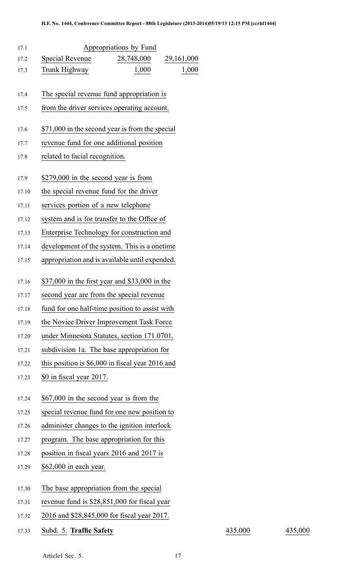| 17.1  | Appropriations by Fund                           |
|-------|--------------------------------------------------|
| 17.2  | Special Revenue<br>28,748,000<br>29,161,000      |
| 17.3  | 1,000<br>Trunk Highway<br>1,000                  |
| 17.4  | The special revenue fund appropriation is        |
| 17.5  | from the driver services operating account.      |
|       |                                                  |
| 17.6  | \$71,000 in the second year is from the special  |
| 17.7  | revenue fund for one additional position         |
| 17.8  | related to facial recognition.                   |
| 17.9  | \$279,000 in the second year is from             |
| 17.10 | the special revenue fund for the driver          |
| 17.11 | services portion of a new telephone              |
| 17.12 | system and is for transfer to the Office of      |
| 17.13 | Enterprise Technology for construction and       |
| 17.14 | development of the system. This is a onetime     |
| 17.15 | appropriation and is available until expended.   |
|       |                                                  |
| 17.16 | \$37,000 in the first year and \$33,000 in the   |
| 17.17 | second year are from the special revenue         |
| 17.18 | fund for one half-time position to assist with   |
| 17.19 | the Novice Driver Improvement Task Force         |
| 17.20 | under Minnesota Statutes, section 171.0701,      |
| 17.21 | subdivision 1a. The base appropriation for       |
| 17.22 | this position is \$6,000 in fiscal year 2016 and |
| 17.23 | \$0 in fiscal year 2017.                         |
| 17.24 | \$67,000 in the second year is from the          |
| 17.25 | special revenue fund for one new position to     |
| 17.26 | administer changes to the ignition interlock     |
| 17.27 | program. The base appropriation for this         |
| 17.28 | position in fiscal years 2016 and 2017 is        |
| 17.29 | \$62,000 in each year.                           |
|       |                                                  |
| 17.30 | The base appropriation from the special          |
| 17.31 | revenue fund is \$28,851,000 for fiscal year     |
| 17.32 | 2016 and \$28,845,000 for fiscal year 2017.      |

17.33 Subd. 5. **Traffic Safety** 435,000 435,000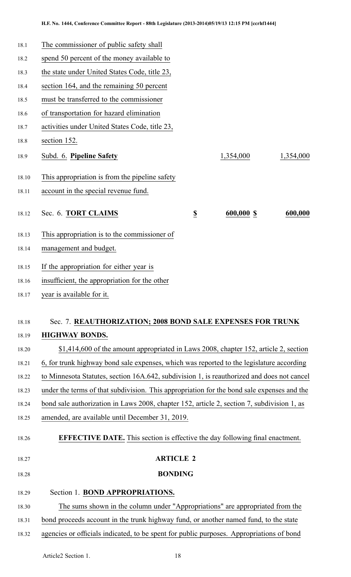| 18.1  | The commissioner of public safety shall                                                    |                  |            |           |
|-------|--------------------------------------------------------------------------------------------|------------------|------------|-----------|
| 18.2  | spend 50 percent of the money available to                                                 |                  |            |           |
| 18.3  | the state under United States Code, title 23,                                              |                  |            |           |
| 18.4  | section 164, and the remaining 50 percent                                                  |                  |            |           |
| 18.5  | must be transferred to the commissioner                                                    |                  |            |           |
| 18.6  | of transportation for hazard elimination                                                   |                  |            |           |
| 18.7  | activities under United States Code, title 23,                                             |                  |            |           |
| 18.8  | section 152.                                                                               |                  |            |           |
| 18.9  | Subd. 6. Pipeline Safety                                                                   |                  | 1,354,000  | 1,354,000 |
| 18.10 | This appropriation is from the pipeline safety                                             |                  |            |           |
| 18.11 | account in the special revenue fund.                                                       |                  |            |           |
| 18.12 | Sec. 6. TORT CLAIMS                                                                        | $\underline{\$}$ | 600,000 \$ | 600,000   |
| 18.13 | This appropriation is to the commissioner of                                               |                  |            |           |
| 18.14 | management and budget.                                                                     |                  |            |           |
| 18.15 | If the appropriation for either year is                                                    |                  |            |           |
| 18.16 | insufficient, the appropriation for the other                                              |                  |            |           |
| 18.17 | year is available for it.                                                                  |                  |            |           |
| 18.18 | Sec. 7. REAUTHORIZATION; 2008 BOND SALE EXPENSES FOR TRUNK                                 |                  |            |           |
| 18.19 | <b>HIGHWAY BONDS.</b>                                                                      |                  |            |           |
| 18.20 | \$1,414,600 of the amount appropriated in Laws 2008, chapter 152, article 2, section       |                  |            |           |
| 18.21 | 6, for trunk highway bond sale expenses, which was reported to the legislature according   |                  |            |           |
| 18.22 | to Minnesota Statutes, section 16A.642, subdivision 1, is reauthorized and does not cancel |                  |            |           |
| 18.23 | under the terms of that subdivision. This appropriation for the bond sale expenses and the |                  |            |           |
| 18.24 | bond sale authorization in Laws 2008, chapter 152, article 2, section 7, subdivision 1, as |                  |            |           |
| 18.25 | amended, are available until December 31, 2019.                                            |                  |            |           |
| 18.26 | <b>EFFECTIVE DATE.</b> This section is effective the day following final enactment.        |                  |            |           |
| 18.27 |                                                                                            | <b>ARTICLE 2</b> |            |           |
| 18.28 |                                                                                            | <b>BONDING</b>   |            |           |
| 18.29 | Section 1. BOND APPROPRIATIONS.                                                            |                  |            |           |
| 18.30 | The sums shown in the column under "Appropriations" are appropriated from the              |                  |            |           |
| 18.31 | bond proceeds account in the trunk highway fund, or another named fund, to the state       |                  |            |           |

18.32 agencies or officials indicated, to be spen<sup>t</sup> for public purposes. Appropriations of bond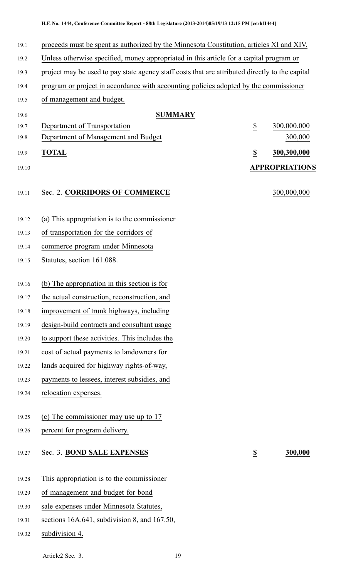| 19.1  | proceeds must be spent as authorized by the Minnesota Constitution, articles XI and XIV.        |                         |                       |
|-------|-------------------------------------------------------------------------------------------------|-------------------------|-----------------------|
| 19.2  | Unless otherwise specified, money appropriated in this article for a capital program or         |                         |                       |
| 19.3  | project may be used to pay state agency staff costs that are attributed directly to the capital |                         |                       |
| 19.4  | program or project in accordance with accounting policies adopted by the commissioner           |                         |                       |
| 19.5  | of management and budget.                                                                       |                         |                       |
| 19.6  | <b>SUMMARY</b>                                                                                  |                         |                       |
| 19.7  | Department of Transportation                                                                    | $\underline{\$}$        | 300,000,000           |
| 19.8  | Department of Management and Budget                                                             |                         | 300,000               |
| 19.9  | <b>TOTAL</b>                                                                                    | $\overline{\mathbf{S}}$ | 300,300,000           |
| 19.10 |                                                                                                 |                         | <b>APPROPRIATIONS</b> |
| 19.11 | Sec. 2. CORRIDORS OF COMMERCE                                                                   |                         | 300,000,000           |
| 19.12 | (a) This appropriation is to the commissioner                                                   |                         |                       |
| 19.13 | of transportation for the corridors of                                                          |                         |                       |
| 19.14 | commerce program under Minnesota                                                                |                         |                       |
| 19.15 | Statutes, section 161.088.                                                                      |                         |                       |
| 19.16 | (b) The appropriation in this section is for                                                    |                         |                       |
| 19.17 | the actual construction, reconstruction, and                                                    |                         |                       |
| 19.18 | improvement of trunk highways, including                                                        |                         |                       |
| 19.19 | design-build contracts and consultant usage                                                     |                         |                       |
| 19.20 | to support these activities. This includes the                                                  |                         |                       |
| 19.21 | cost of actual payments to landowners for                                                       |                         |                       |
| 19.22 | lands acquired for highway rights-of-way,                                                       |                         |                       |
| 19.23 | payments to lessees, interest subsidies, and                                                    |                         |                       |
| 19.24 | relocation expenses.                                                                            |                         |                       |
| 19.25 | (c) The commissioner may use up to 17                                                           |                         |                       |
| 19.26 | percent for program delivery.                                                                   |                         |                       |
| 19.27 | Sec. 3. BOND SALE EXPENSES                                                                      | $\overline{\mathbf{z}}$ | 300,000               |
| 19.28 | This appropriation is to the commissioner                                                       |                         |                       |
| 19.29 | of management and budget for bond                                                               |                         |                       |
| 19.30 | sale expenses under Minnesota Statutes,                                                         |                         |                       |
| 19.31 | sections 16A.641, subdivision 8, and 167.50,                                                    |                         |                       |

19.32 subdivision 4.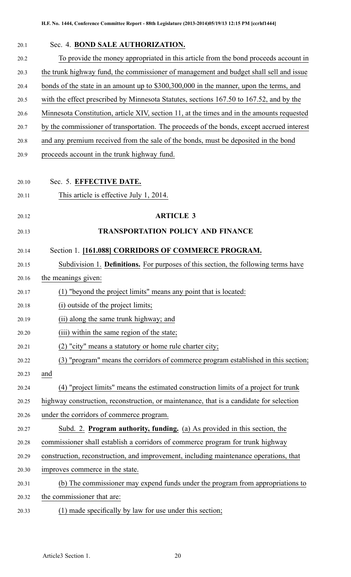| 20.1  | Sec. 4. BOND SALE AUTHORIZATION.                                                           |
|-------|--------------------------------------------------------------------------------------------|
| 20.2  | To provide the money appropriated in this article from the bond proceeds account in        |
| 20.3  | the trunk highway fund, the commissioner of management and budget shall sell and issue     |
| 20.4  | bonds of the state in an amount up to \$300,300,000 in the manner, upon the terms, and     |
| 20.5  | with the effect prescribed by Minnesota Statutes, sections 167.50 to 167.52, and by the    |
| 20.6  | Minnesota Constitution, article XIV, section 11, at the times and in the amounts requested |
| 20.7  | by the commissioner of transportation. The proceeds of the bonds, except accrued interest  |
| 20.8  | and any premium received from the sale of the bonds, must be deposited in the bond         |
| 20.9  | proceeds account in the trunk highway fund.                                                |
|       |                                                                                            |
| 20.10 | Sec. 5. EFFECTIVE DATE.                                                                    |
| 20.11 | This article is effective July 1, 2014.                                                    |
| 20.12 | <b>ARTICLE 3</b>                                                                           |
| 20.13 | <b>TRANSPORTATION POLICY AND FINANCE</b>                                                   |
| 20.14 | Section 1. [161.088] CORRIDORS OF COMMERCE PROGRAM.                                        |
| 20.15 | Subdivision 1. <b>Definitions.</b> For purposes of this section, the following terms have  |
| 20.16 | the meanings given:                                                                        |
| 20.17 | (1) "beyond the project limits" means any point that is located:                           |
| 20.18 | (i) outside of the project limits;                                                         |
| 20.19 | (ii) along the same trunk highway; and                                                     |
| 20.20 | (iii) within the same region of the state;                                                 |
| 20.21 | (2) "city" means a statutory or home rule charter city;                                    |
| 20.22 | (3) "program" means the corridors of commerce program established in this section;         |
| 20.23 | and                                                                                        |
| 20.24 | (4) "project limits" means the estimated construction limits of a project for trunk        |
| 20.25 | highway construction, reconstruction, or maintenance, that is a candidate for selection    |
| 20.26 | under the corridors of commerce program.                                                   |
| 20.27 | Subd. 2. Program authority, funding. (a) As provided in this section, the                  |
| 20.28 | commissioner shall establish a corridors of commerce program for trunk highway             |
| 20.29 | construction, reconstruction, and improvement, including maintenance operations, that      |
| 20.30 | improves commerce in the state.                                                            |
| 20.31 | (b) The commissioner may expend funds under the program from appropriations to             |
| 20.32 | the commissioner that are:                                                                 |
| 20.33 | (1) made specifically by law for use under this section;                                   |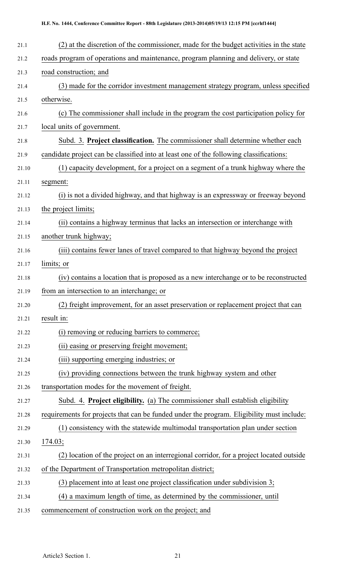| 21.1  | (2) at the discretion of the commissioner, made for the budget activities in the state    |
|-------|-------------------------------------------------------------------------------------------|
| 21.2  | roads program of operations and maintenance, program planning and delivery, or state      |
| 21.3  | road construction; and                                                                    |
| 21.4  | (3) made for the corridor investment management strategy program, unless specified        |
| 21.5  | otherwise.                                                                                |
| 21.6  | (c) The commissioner shall include in the program the cost participation policy for       |
| 21.7  | local units of government.                                                                |
| 21.8  | Subd. 3. Project classification. The commissioner shall determine whether each            |
| 21.9  | candidate project can be classified into at least one of the following classifications:   |
| 21.10 | (1) capacity development, for a project on a segment of a trunk highway where the         |
| 21.11 | segment:                                                                                  |
| 21.12 | (i) is not a divided highway, and that highway is an expressway or freeway beyond         |
| 21.13 | the project limits;                                                                       |
| 21.14 | (ii) contains a highway terminus that lacks an intersection or interchange with           |
| 21.15 | another trunk highway;                                                                    |
| 21.16 | (iii) contains fewer lanes of travel compared to that highway beyond the project          |
| 21.17 | limits; or                                                                                |
| 21.18 | (iv) contains a location that is proposed as a new interchange or to be reconstructed     |
| 21.19 | from an intersection to an interchange; or                                                |
| 21.20 | (2) freight improvement, for an asset preservation or replacement project that can        |
| 21.21 | result in:                                                                                |
| 21.22 | (i) removing or reducing barriers to commerce;                                            |
| 21.23 | (ii) easing or preserving freight movement;                                               |
| 21.24 | (iii) supporting emerging industries; or                                                  |
| 21.25 | (iv) providing connections between the trunk highway system and other                     |
| 21.26 | transportation modes for the movement of freight.                                         |
| 21.27 | Subd. 4. Project eligibility. (a) The commissioner shall establish eligibility            |
| 21.28 | requirements for projects that can be funded under the program. Eligibility must include: |
| 21.29 | (1) consistency with the statewide multimodal transportation plan under section           |
| 21.30 | 174.03;                                                                                   |
| 21.31 | ) location of the project on an interregional corridor, for a project located outside     |
| 21.32 | of the Department of Transportation metropolitan district;                                |
| 21.33 | $(3)$ placement into at least one project classification under subdivision 3;             |
| 21.34 | (4) a maximum length of time, as determined by the commissioner, until                    |
| 21.35 | commencement of construction work on the project; and                                     |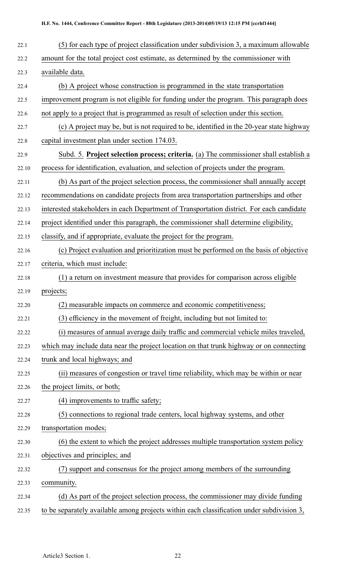| 22.1  | (5) for each type of project classification under subdivision 3, a maximum allowable      |
|-------|-------------------------------------------------------------------------------------------|
| 22.2  | amount for the total project cost estimate, as determined by the commissioner with        |
| 22.3  | available data.                                                                           |
| 22.4  | (b) A project whose construction is programmed in the state transportation                |
| 22.5  | improvement program is not eligible for funding under the program. This paragraph does    |
| 22.6  | not apply to a project that is programmed as result of selection under this section.      |
| 22.7  | (c) A project may be, but is not required to be, identified in the 20-year state highway  |
| 22.8  | capital investment plan under section 174.03.                                             |
| 22.9  | Subd. 5. Project selection process; criteria. (a) The commissioner shall establish a      |
| 22.10 | process for identification, evaluation, and selection of projects under the program.      |
| 22.11 | (b) As part of the project selection process, the commissioner shall annually accept      |
| 22.12 | recommendations on candidate projects from area transportation partnerships and other     |
| 22.13 | interested stakeholders in each Department of Transportation district. For each candidate |
| 22.14 | project identified under this paragraph, the commissioner shall determine eligibility,    |
| 22.15 | classify, and if appropriate, evaluate the project for the program.                       |
| 22.16 | (c) Project evaluation and prioritization must be performed on the basis of objective     |
| 22.17 | criteria, which must include:                                                             |
| 22.18 | (1) a return on investment measure that provides for comparison across eligible           |
| 22.19 | projects;                                                                                 |
| 22.20 | (2) measurable impacts on commerce and economic competitiveness;                          |
| 22.21 | (3) efficiency in the movement of freight, including but not limited to:                  |
| 22.22 | (i) measures of annual average daily traffic and commercial vehicle miles traveled,       |
| 22.23 | which may include data near the project location on that trunk highway or on connecting   |
| 22.24 | trunk and local highways; and                                                             |
| 22.25 | (ii) measures of congestion or travel time reliability, which may be within or near       |
| 22.26 | the project limits, or both;                                                              |
| 22.27 | (4) improvements to traffic safety;                                                       |
| 22.28 | (5) connections to regional trade centers, local highway systems, and other               |
| 22.29 | transportation modes;                                                                     |
| 22.30 | (6) the extent to which the project addresses multiple transportation system policy       |
| 22.31 | objectives and principles; and                                                            |
| 22.32 | (7) support and consensus for the project among members of the surrounding                |
| 22.33 | community.                                                                                |
| 22.34 | (d) As part of the project selection process, the commissioner may divide funding         |
| 22.35 | to be separately available among projects within each classification under subdivision 3, |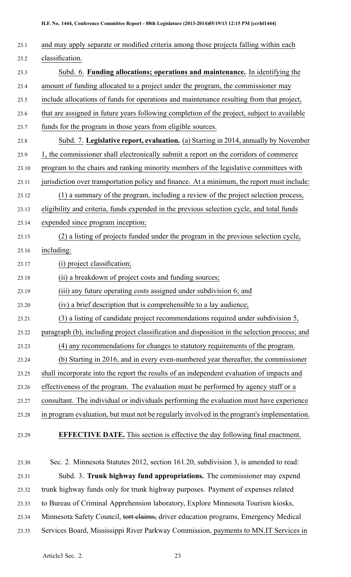| 23.1  | and may apply separate or modified criteria among those projects falling within each          |
|-------|-----------------------------------------------------------------------------------------------|
| 23.2  | classification.                                                                               |
| 23.3  | Subd. 6. Funding allocations; operations and maintenance. In identifying the                  |
| 23.4  | amount of funding allocated to a project under the program, the commissioner may              |
| 23.5  | include allocations of funds for operations and maintenance resulting from that project,      |
| 23.6  | that are assigned in future years following completion of the project, subject to available   |
| 23.7  | funds for the program in those years from eligible sources.                                   |
| 23.8  | Subd. 7. Legislative report, evaluation. (a) Starting in 2014, annually by November           |
| 23.9  | 1, the commissioner shall electronically submit a report on the corridors of commerce         |
| 23.10 | program to the chairs and ranking minority members of the legislative committees with         |
| 23.11 | jurisdiction over transportation policy and finance. At a minimum, the report must include:   |
| 23.12 | (1) a summary of the program, including a review of the project selection process,            |
| 23.13 | eligibility and criteria, funds expended in the previous selection cycle, and total funds     |
| 23.14 | expended since program inception;                                                             |
| 23.15 | (2) a listing of projects funded under the program in the previous selection cycle,           |
| 23.16 | including:                                                                                    |
| 23.17 | (i) project classification;                                                                   |
| 23.18 | (ii) a breakdown of project costs and funding sources;                                        |
| 23.19 | (iii) any future operating costs assigned under subdivision 6; and                            |
| 23.20 | (iv) a brief description that is comprehensible to a lay audience;                            |
| 23.21 | (3) a listing of candidate project recommendations required under subdivision 5,              |
| 23.22 | paragraph (b), including project classification and disposition in the selection process; and |
| 23.23 | (4) any recommendations for changes to statutory requirements of the program.                 |
| 23.24 | (b) Starting in 2016, and in every even-numbered year thereafter, the commissioner            |
| 23.25 | shall incorporate into the report the results of an independent evaluation of impacts and     |
| 23.26 | effectiveness of the program. The evaluation must be performed by agency staff or a           |
| 23.27 | consultant. The individual or individuals performing the evaluation must have experience      |
| 23.28 | in program evaluation, but must not be regularly involved in the program's implementation.    |
| 23.29 | <b>EFFECTIVE DATE.</b> This section is effective the day following final enactment.           |
|       |                                                                                               |

23.30 Sec. 2. Minnesota Statutes 2012, section 161.20, subdivision 3, is amended to read: 23.31 Subd. 3. **Trunk highway fund appropriations.** The commissioner may expend 23.32 trunk highway funds only for trunk highway purposes. Payment of expenses related 23.33 to Bureau of Criminal Apprehension laboratory, Explore Minnesota Tourism kiosks, 23.34 Minnesota Safety Council, tort claims, driver education programs, Emergency Medical 23.35 Services Board, Mississippi River Parkway Commission, payments to MN.IT Services in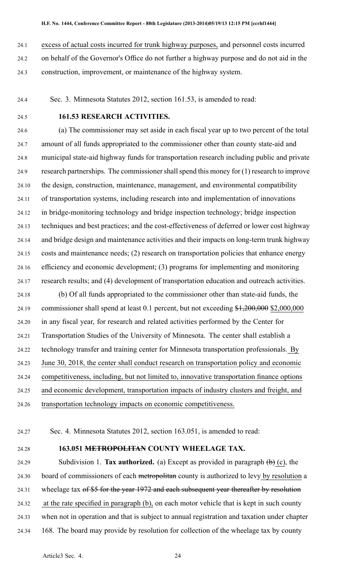24.1 excess of actual costs incurred for trunk highway purposes, and personnel costs incurred

24.2 on behalf of the Governor's Office do not further <sup>a</sup> highway purpose and do not aid in the 24.3 construction, improvement, or maintenance of the highway system.

24.4 Sec. 3. Minnesota Statutes 2012, section 161.53, is amended to read:

## 24.5 **161.53 RESEARCH ACTIVITIES.**

24.6 (a) The commissioner may set aside in each fiscal year up to two percen<sup>t</sup> of the total 24.7 amount of all funds appropriated to the commissioner other than county state-aid and 24.8 municipal state-aid highway funds for transportation research including public and private 24.9 research partnerships. The commissioner shall spend this money for (1) research to improve 24.10 the design, construction, maintenance, management, and environmental compatibility 24.11 of transportation systems, including research into and implementation of innovations 24.12 in bridge-monitoring technology and bridge inspection technology; bridge inspection 24.13 techniques and best practices; and the cost-effectiveness of deferred or lower cost highway 24.14 and bridge design and maintenance activities and their impacts on long-term trunk highway 24.15 costs and maintenance needs; (2) research on transportation policies that enhance energy 24.16 efficiency and economic development; (3) programs for implementing and monitoring 24.17 research results; and (4) development of transportation education and outreach activities.

24.18 (b) Of all funds appropriated to the commissioner other than state-aid funds, the 24.19 commissioner shall spend at least 0.1 percent, but not exceeding \$1,200,000 \$2,000,000 24.20 in any fiscal year, for research and related activities performed by the Center for 24.21 Transportation Studies of the University of Minnesota. The center shall establish <sup>a</sup> 24.22 technology transfer and training center for Minnesota transportation professionals. By 24.23 June 30, 2018, the center shall conduct research on transportation policy and economic 24.24 competitiveness, including, but not limited to, innovative transportation finance options 24.25 and economic development, transportation impacts of industry clusters and freight, and 24.26 transportation technology impacts on economic competitiveness.

24.27 Sec. 4. Minnesota Statutes 2012, section 163.051, is amended to read:

#### 24.28 **163.051 METROPOLITAN COUNTY WHEELAGE TAX.**

24.29 Subdivision 1. **Tax authorized.** (a) Except as provided in paragraph (b) (c), the 24.30 board of commissioners of each metropolitan county is authorized to levy by resolution <sup>a</sup> 24.31 wheelage tax of \$5 for the year 1972 and each subsequent year thereafter by resolution 24.32 at the rate specified in paragraph (b), on each motor vehicle that is kept in such county 24.33 when not in operation and that is subject to annual registration and taxation under chapter 24.34 168. The board may provide by resolution for collection of the wheelage tax by county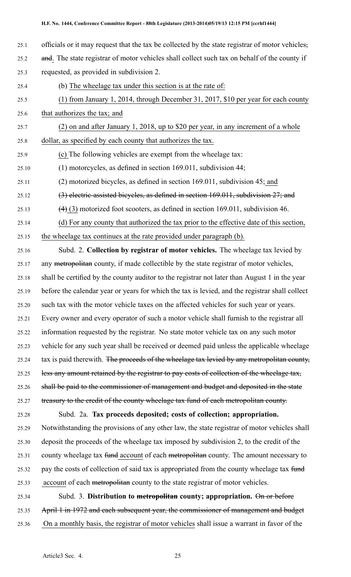- 25.1 officials or it may reques<sup>t</sup> that the tax be collected by the state registrar of motor vehicles, 25.2 and. The state registrar of motor vehicles shall collect such tax on behalf of the county if 25.3 requested, as provided in subdivision 2.
- 25.4 (b) The wheelage tax under this section is at the rate of:
- 25.5 (1) from January 1, 2014, through December 31, 2017, \$10 per year for each county
- 25.6 that authorizes the tax; and
- 25.7 (2) on and after January 1, 2018, up to \$20 per year, in any increment of <sup>a</sup> whole 25.8 dollar, as specified by each county that authorizes the tax.
- 25.9 (c) The following vehicles are exemp<sup>t</sup> from the wheelage tax:
- 25.10 (1) motorcycles, as defined in section 169.011, subdivision 44;
- 25.11 (2) motorized bicycles, as defined in section 169.011, subdivision 45; and
- 25.12 (3) electric-assisted bicycles, as defined in section 169.011, subdivision 27; and
- 25.13  $(4)$  (3) motorized foot scooters, as defined in section 169.011, subdivision 46.
- 25.14 (d) For any county that authorized the tax prior to the effective date of this section, 25.15 the wheelage tax continues at the rate provided under paragraph (b).
- 25.16 Subd. 2. **Collection by registrar of motor vehicles.** The wheelage tax levied by 25.17 any metropolitan county, if made collectible by the state registrar of motor vehicles, 25.18 shall be certified by the county auditor to the registrar not later than August 1 in the year 25.19 before the calendar year or years for which the tax is levied, and the registrar shall collect 25.20 such tax with the motor vehicle taxes on the affected vehicles for such year or years. 25.21 Every owner and every operator of such <sup>a</sup> motor vehicle shall furnish to the registrar all 25.22 information requested by the registrar. No state motor vehicle tax on any such motor 25.23 vehicle for any such year shall be received or deemed paid unless the applicable wheelage 25.24 tax is paid therewith. The proceeds of the wheelage tax levied by any metropolitan county, 25.25 less any amount retained by the registrar to pay costs of collection of the wheelage tax, 25.26 shall be paid to the commissioner of managemen<sup>t</sup> and budget and deposited in the state 25.27 treasury to the credit of the county wheelage tax fund of each metropolitan county.
- 25.28 Subd. 2a. **Tax proceeds deposited; costs of collection; appropriation.** 25.29 Notwithstanding the provisions of any other law, the state registrar of motor vehicles shall 25.30 deposit the proceeds of the wheelage tax imposed by subdivision 2, to the credit of the 25.31 county wheelage tax fund account of each metropolitan county. The amount necessary to 25.32 pay the costs of collection of said tax is appropriated from the county wheelage tax fund 25.33 account of each metropolitan county to the state registrar of motor vehicles.
- 25.34 Subd. 3. **Distribution to metropolitan county; appropriation.** On or before 25.35 April 1 in 1972 and each subsequent year, the commissioner of managemen<sup>t</sup> and budget 25.36 On <sup>a</sup> monthly basis, the registrar of motor vehicles shall issue <sup>a</sup> warrant in favor of the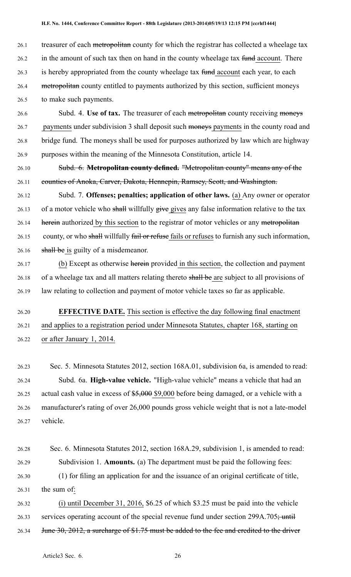26.1 treasurer of each metropolitan county for which the registrar has collected a wheelage tax 26.2 in the amount of such tax then on hand in the county wheelage tax fund account. There 26.3 is hereby appropriated from the county wheelage tax fund account each year, to each 26.4 metropolitan county entitled to payments authorized by this section, sufficient moneys

26.5 to make such payments.

26.6 Subd. 4. **Use of tax.** The treasurer of each metropolitan county receiving moneys 26.7 payments under subdivision 3 shall deposit such moneys payments in the county road and 26.8 bridge fund. The moneys shall be used for purposes authorized by law which are highway 26.9 purposes within the meaning of the Minnesota Constitution, article 14.

26.10 Subd. 6. **Metropolitan county defined.** "Metropolitan county" means any of the 26.11 counties of Anoka, Carver, Dakota, Hennepin, Ramsey, Scott, and Washington.

26.12 Subd. 7. **Offenses; penalties; application of other laws.** (a) Any owner or operator 26.13 of a motor vehicle who shall willfully give gives any false information relative to the tax 26.14 herein authorized by this section to the registrar of motor vehicles or any metropolitan 26.15 county, or who shall willfully fail or refuse fails or refuses to furnish any such information, 26.16 shall be is guilty of a misdemeanor.

26.17 (b) Except as otherwise herein provided in this section, the collection and paymen<sup>t</sup> 26.18 of a wheelage tax and all matters relating thereto shall be are subject to all provisions of 26.19 law relating to collection and paymen<sup>t</sup> of motor vehicle taxes so far as applicable.

26.20 **EFFECTIVE DATE.** This section is effective the day following final enactment 26.21 and applies to <sup>a</sup> registration period under Minnesota Statutes, chapter 168, starting on 26.22 or after January 1, 2014.

26.23 Sec. 5. Minnesota Statutes 2012, section 168A.01, subdivision 6a, is amended to read: 26.24 Subd. 6a. **High-value vehicle.** "High-value vehicle" means <sup>a</sup> vehicle that had an 26.25 actual cash value in excess of \$5,000 \$9,000 before being damaged, or a vehicle with a 26.26 manufacturer's rating of over 26,000 pounds gross vehicle weight that is not <sup>a</sup> late-model 26.27 vehicle.

26.28 Sec. 6. Minnesota Statutes 2012, section 168A.29, subdivision 1, is amended to read: 26.29 Subdivision 1. **Amounts.** (a) The department must be paid the following fees: 26.30 (1) for filing an application for and the issuance of an original certificate of title, 26.31 the sum of:

26.32 (i) until December 31, 2016, \$6.25 of which \$3.25 must be paid into the vehicle 26.33 services operating account of the special revenue fund under section  $299A.705$ ; until 26.34 June 30, 2012, a surcharge of \$1.75 must be added to the fee and credited to the driver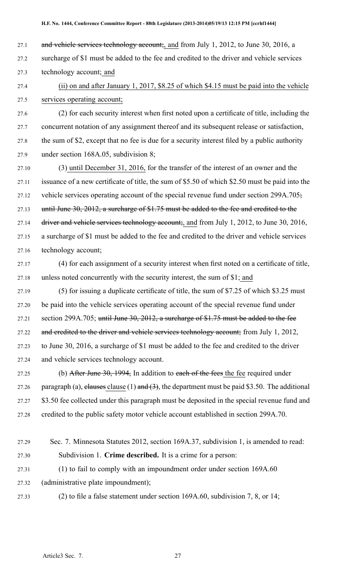- 27.1 and vehicle services technology account;, and from July 1, 2012, to June 30, 2016, a
- 27.2 surcharge of \$1 must be added to the fee and credited to the driver and vehicle services 27.3 technology account; and
- 27.4 (ii) on and after January 1, 2017, \$8.25 of which \$4.15 must be paid into the vehicle 27.5 services operating account;
- 27.6 (2) for each security interest when first noted upon <sup>a</sup> certificate of title, including the 27.7 concurrent notation of any assignment thereof and its subsequent release or satisfaction, 27.8 the sum of \$2, excep<sup>t</sup> that no fee is due for <sup>a</sup> security interest filed by <sup>a</sup> public authority 27.9 under section 168A.05, subdivision 8;
- 27.10 (3) until December 31, 2016, for the transfer of the interest of an owner and the 27.11 issuance of <sup>a</sup> new certificate of title, the sum of \$5.50 of which \$2.50 must be paid into the 27.12 vehicle services operating account of the special revenue fund under section 299A.705; 27.13 until June 30, 2012, a surcharge of \$1.75 must be added to the fee and credited to the 27.14 driver and vehicle services technology account;, and from July 1, 2012, to June 30, 2016, 27.15 <sup>a</sup> surcharge of \$1 must be added to the fee and credited to the driver and vehicle services 27.16 technology account;
- 27.17 (4) for each assignment of <sup>a</sup> security interest when first noted on <sup>a</sup> certificate of title, 27.18 unless noted concurrently with the security interest, the sum of \$1; and
- 27.19 (5) for issuing <sup>a</sup> duplicate certificate of title, the sum of \$7.25 of which \$3.25 must 27.20 be paid into the vehicle services operating account of the special revenue fund under 27.21 section 299A.705; until June 30, 2012, a surcharge of \$1.75 must be added to the fee 27.22 and credited to the driver and vehicle services technology account; from July 1, 2012, 27.23 to June 30, 2016, <sup>a</sup> surcharge of \$1 must be added to the fee and credited to the driver 27.24 and vehicle services technology account.
- 27.25 (b) After June 30, 1994, In addition to each of the fees the fee required under 27.26 paragraph (a), elauses clause (1) and  $(3)$ , the department must be paid \$3.50. The additional 27.27 \$3.50 fee collected under this paragraph must be deposited in the special revenue fund and 27.28 credited to the public safety motor vehicle account established in section 299A.70.
- 27.29 Sec. 7. Minnesota Statutes 2012, section 169A.37, subdivision 1, is amended to read: 27.30 Subdivision 1. **Crime described.** It is <sup>a</sup> crime for <sup>a</sup> person: 27.31 (1) to fail to comply with an impoundment order under section 169A.60 27.32 (administrative plate impoundment);
- 

27.33 (2) to file <sup>a</sup> false statement under section 169A.60, subdivision 7, 8, or 14;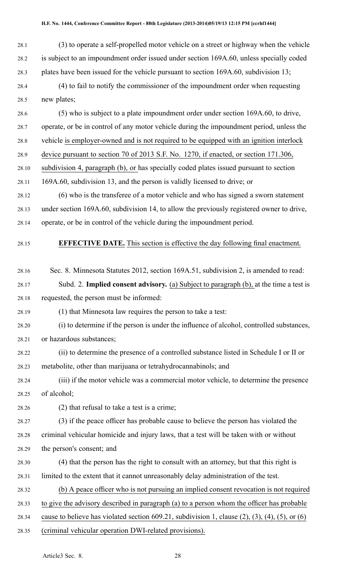28.1 (3) to operate <sup>a</sup> self-propelled motor vehicle on <sup>a</sup> street or highway when the vehicle 28.2 is subject to an impoundment order issued under section 169A.60, unless specially coded 28.3 plates have been issued for the vehicle pursuan<sup>t</sup> to section 169A.60, subdivision 13;

28.4 (4) to fail to notify the commissioner of the impoundment order when requesting 28.5 new plates;

28.6 (5) who is subject to <sup>a</sup> plate impoundment order under section 169A.60, to drive, 28.7 operate, or be in control of any motor vehicle during the impoundment period, unless the 28.8 vehicle is employer-owned and is not required to be equipped with an ignition interlock 28.9 device pursuan<sup>t</sup> to section 70 of 2013 S.F. No. 1270, if enacted, or section 171.306, 28.10 subdivision 4, paragraph (b), or has specially coded plates issued pursuan<sup>t</sup> to section 28.11 169A.60, subdivision 13, and the person is validly licensed to drive; or 28.12 (6) who is the transferee of <sup>a</sup> motor vehicle and who has signed <sup>a</sup> sworn statement 28.13 under section 169A.60, subdivision 14, to allow the previously registered owner to drive,

28.14 operate, or be in control of the vehicle during the impoundment period.

28.15 **EFFECTIVE DATE.** This section is effective the day following final enactment.

- 28.16 Sec. 8. Minnesota Statutes 2012, section 169A.51, subdivision 2, is amended to read:
- 28.17 Subd. 2. **Implied consent advisory.** (a) Subject to paragraph (b), at the time <sup>a</sup> test is 28.18 requested, the person must be informed:
- 28.19 (1) that Minnesota law requires the person to take <sup>a</sup> test:
- 28.20 (i) to determine if the person is under the influence of alcohol, controlled substances, 28.21 or hazardous substances;
- 28.22 (ii) to determine the presence of <sup>a</sup> controlled substance listed in Schedule I or II or 28.23 metabolite, other than marijuana or tetrahydrocannabinols; and
- 28.24 (iii) if the motor vehicle was <sup>a</sup> commercial motor vehicle, to determine the presence 28.25 of alcohol;
- 28.26 (2) that refusal to take <sup>a</sup> test is <sup>a</sup> crime;

28.27 (3) if the peace officer has probable cause to believe the person has violated the 28.28 criminal vehicular homicide and injury laws, that <sup>a</sup> test will be taken with or without 28.29 the person's consent; and

- 28.30 (4) that the person has the right to consult with an attorney, but that this right is 28.31 limited to the extent that it cannot unreasonably delay administration of the test.
- 28.32 (b) A peace officer who is not pursuing an implied consent revocation is not required
- 28.33 to give the advisory described in paragraph (a) to <sup>a</sup> person whom the officer has probable
- 28.34 cause to believe has violated section 609.21, subdivision 1, clause  $(2)$ ,  $(3)$ ,  $(4)$ ,  $(5)$ , or  $(6)$
- 28.35 (criminal vehicular operation DWI-related provisions).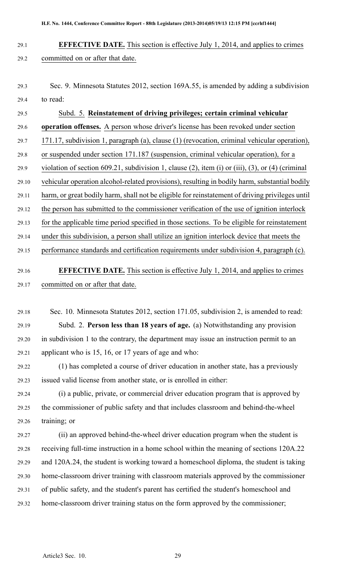# 29.1 **EFFECTIVE DATE.** This section is effective July 1, 2014, and applies to crimes 29.2 committed on or after that date.

29.3 Sec. 9. Minnesota Statutes 2012, section 169A.55, is amended by adding <sup>a</sup> subdivision 29.4 to read:

29.5 Subd. 5. **Reinstatement of driving privileges; certain criminal vehicular** 29.6 **operation offenses.** A person whose driver's license has been revoked under section 29.7 171.17, subdivision 1, paragraph (a), clause (1) (revocation, criminal vehicular operation), 29.8 or suspended under section 171.187 (suspension, criminal vehicular operation), for <sup>a</sup> 29.9 violation of section 609.21, subdivision 1, clause (2), item (i) or (iii), (3), or (4) (criminal 29.10 vehicular operation alcohol-related provisions), resulting in bodily harm, substantial bodily 29.11 harm, or grea<sup>t</sup> bodily harm, shall not be eligible for reinstatement of driving privileges until 29.12 the person has submitted to the commissioner verification of the use of ignition interlock 29.13 for the applicable time period specified in those sections. To be eligible for reinstatement 29.14 under this subdivision, <sup>a</sup> person shall utilize an ignition interlock device that meets the 29.15 performance standards and certification requirements under subdivision 4, paragraph (c).

# 29.16 **EFFECTIVE DATE.** This section is effective July 1, 2014, and applies to crimes 29.17 committed on or after that date.

29.18 Sec. 10. Minnesota Statutes 2012, section 171.05, subdivision 2, is amended to read: 29.19 Subd. 2. **Person less than 18 years of age.** (a) Notwithstanding any provision 29.20 in subdivision 1 to the contrary, the department may issue an instruction permit to an 29.21 applicant who is 15, 16, or 17 years of age and who:

29.22 (1) has completed <sup>a</sup> course of driver education in another state, has <sup>a</sup> previously 29.23 issued valid license from another state, or is enrolled in either:

29.24 (i) <sup>a</sup> public, private, or commercial driver education program that is approved by 29.25 the commissioner of public safety and that includes classroom and behind-the-wheel 29.26 training; or

29.27 (ii) an approved behind-the-wheel driver education program when the student is 29.28 receiving full-time instruction in <sup>a</sup> home school within the meaning of sections 120A.22 29.29 and 120A.24, the student is working toward <sup>a</sup> homeschool diploma, the student is taking 29.30 home-classroom driver training with classroom materials approved by the commissioner 29.31 of public safety, and the student's paren<sup>t</sup> has certified the student's homeschool and 29.32 home-classroom driver training status on the form approved by the commissioner;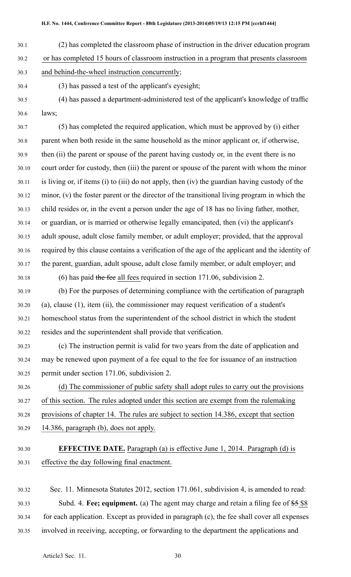- 30.1 (2) has completed the classroom phase of instruction in the driver education program
- 30.2 or has completed 15 hours of classroom instruction in <sup>a</sup> program that presents classroom
- 30.3 and behind-the-wheel instruction concurrently;
- 30.4 (3) has passed <sup>a</sup> test of the applicant's eyesight;
- 30.5 (4) has passed <sup>a</sup> department-administered test of the applicant's knowledge of traffic 30.6 laws;

30.7 (5) has completed the required application, which must be approved by (i) either 30.8 paren<sup>t</sup> when both reside in the same household as the minor applicant or, if otherwise, 30.9 then (ii) the paren<sup>t</sup> or spouse of the paren<sup>t</sup> having custody or, in the event there is no 30.10 court order for custody, then (iii) the paren<sup>t</sup> or spouse of the paren<sup>t</sup> with whom the minor 30.11 is living or, if items (i) to (iii) do not apply, then (iv) the guardian having custody of the 30.12 minor, (v) the foster paren<sup>t</sup> or the director of the transitional living program in which the 30.13 child resides or, in the event <sup>a</sup> person under the age of 18 has no living father, mother, 30.14 or guardian, or is married or otherwise legally emancipated, then (vi) the applicant's 30.15 adult spouse, adult close family member, or adult employer; provided, that the approval 30.16 required by this clause contains <sup>a</sup> verification of the age of the applicant and the identity of 30.17 the parent, guardian, adult spouse, adult close family member, or adult employer; and

30.18 (6) has paid the fee all fees required in section 171.06, subdivision 2.

30.19 (b) For the purposes of determining compliance with the certification of paragraph 30.20 (a), clause (1), item (ii), the commissioner may reques<sup>t</sup> verification of <sup>a</sup> student's 30.21 homeschool status from the superintendent of the school district in which the student 30.22 resides and the superintendent shall provide that verification.

30.23 (c) The instruction permit is valid for two years from the date of application and 30.24 may be renewed upon paymen<sup>t</sup> of <sup>a</sup> fee equal to the fee for issuance of an instruction 30.25 permit under section 171.06, subdivision 2.

30.26 (d) The commissioner of public safety shall adopt rules to carry out the provisions 30.27 of this section. The rules adopted under this section are exemp<sup>t</sup> from the rulemaking 30.28 provisions of chapter 14. The rules are subject to section 14.386, excep<sup>t</sup> that section 30.29 14.386, paragraph (b), does not apply.

30.30 **EFFECTIVE DATE.** Paragraph (a) is effective June 1, 2014. Paragraph (d) is 30.31 effective the day following final enactment.

30.32 Sec. 11. Minnesota Statutes 2012, section 171.061, subdivision 4, is amended to read: 30.33 Subd. 4. **Fee; equipment.** (a) The agen<sup>t</sup> may charge and retain <sup>a</sup> filing fee of \$5 \$8 30.34 for each application. Except as provided in paragraph (c), the fee shall cover all expenses 30.35 involved in receiving, accepting, or forwarding to the department the applications and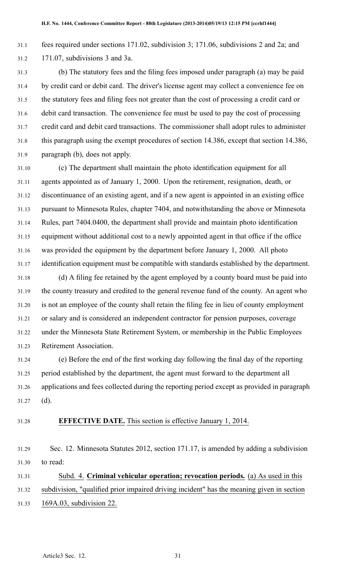31.1 fees required under sections 171.02, subdivision 3; 171.06, subdivisions 2 and 2a; and 31.2 171.07, subdivisions 3 and 3a.

31.3 (b) The statutory fees and the filing fees imposed under paragraph (a) may be paid 31.4 by credit card or debit card. The driver's license agen<sup>t</sup> may collect <sup>a</sup> convenience fee on 31.5 the statutory fees and filing fees not greater than the cost of processing <sup>a</sup> credit card or 31.6 debit card transaction. The convenience fee must be used to pay the cost of processing 31.7 credit card and debit card transactions. The commissioner shall adopt rules to administer 31.8 this paragraph using the exemp<sup>t</sup> procedures of section 14.386, excep<sup>t</sup> that section 14.386, 31.9 paragraph (b), does not apply.

31.10 (c) The department shall maintain the photo identification equipment for all 31.11 agents appointed as of January 1, 2000. Upon the retirement, resignation, death, or 31.12 discontinuance of an existing agent, and if <sup>a</sup> new agen<sup>t</sup> is appointed in an existing office 31.13 pursuan<sup>t</sup> to Minnesota Rules, chapter 7404, and notwithstanding the above or Minnesota 31.14 Rules, par<sup>t</sup> 7404.0400, the department shall provide and maintain photo identification 31.15 equipment without additional cost to <sup>a</sup> newly appointed agen<sup>t</sup> in that office if the office 31.16 was provided the equipment by the department before January 1, 2000. All photo 31.17 identification equipment must be compatible with standards established by the department.

31.18 (d) A filing fee retained by the agen<sup>t</sup> employed by <sup>a</sup> county board must be paid into 31.19 the county treasury and credited to the general revenue fund of the county. An agen<sup>t</sup> who 31.20 is not an employee of the county shall retain the filing fee in lieu of county employment 31.21 or salary and is considered an independent contractor for pension purposes, coverage 31.22 under the Minnesota State Retirement System, or membership in the Public Employees 31.23 Retirement Association.

31.24 (e) Before the end of the first working day following the final day of the reporting 31.25 period established by the department, the agen<sup>t</sup> must forward to the department all 31.26 applications and fees collected during the reporting period excep<sup>t</sup> as provided in paragraph 31.27 (d).

31.28 **EFFECTIVE DATE.** This section is effective January 1, 2014.

31.29 Sec. 12. Minnesota Statutes 2012, section 171.17, is amended by adding <sup>a</sup> subdivision 31.30 to read:

31.31 Subd. 4. **Criminal vehicular operation; revocation periods.** (a) As used in this 31.32 subdivision, "qualified prior impaired driving incident" has the meaning given in section 31.33 169A.03, subdivision 22.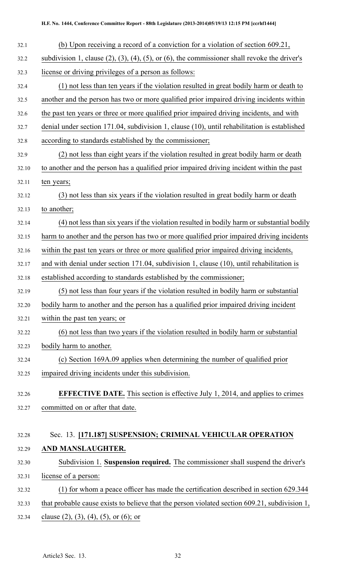| 32.1  | (b) Upon receiving a record of a conviction for a violation of section 609.21,                              |
|-------|-------------------------------------------------------------------------------------------------------------|
| 32.2  | subdivision 1, clause $(2)$ , $(3)$ , $(4)$ , $(5)$ , or $(6)$ , the commissioner shall revoke the driver's |
| 32.3  | license or driving privileges of a person as follows:                                                       |
| 32.4  | (1) not less than ten years if the violation resulted in great bodily harm or death to                      |
| 32.5  | another and the person has two or more qualified prior impaired driving incidents within                    |
| 32.6  | the past ten years or three or more qualified prior impaired driving incidents, and with                    |
| 32.7  | denial under section 171.04, subdivision 1, clause (10), until rehabilitation is established                |
| 32.8  | according to standards established by the commissioner;                                                     |
| 32.9  | (2) not less than eight years if the violation resulted in great bodily harm or death                       |
| 32.10 | to another and the person has a qualified prior impaired driving incident within the past                   |
| 32.11 | ten years;                                                                                                  |
| 32.12 | (3) not less than six years if the violation resulted in great bodily harm or death                         |
| 32.13 | to another;                                                                                                 |
| 32.14 | (4) not less than six years if the violation resulted in bodily harm or substantial bodily                  |
| 32.15 | harm to another and the person has two or more qualified prior impaired driving incidents                   |
| 32.16 | within the past ten years or three or more qualified prior impaired driving incidents,                      |
| 32.17 | and with denial under section 171.04, subdivision 1, clause (10), until rehabilitation is                   |
| 32.18 | established according to standards established by the commissioner;                                         |
| 32.19 | (5) not less than four years if the violation resulted in bodily harm or substantial                        |
| 32.20 | bodily harm to another and the person has a qualified prior impaired driving incident                       |
| 32.21 | within the past ten years; or                                                                               |
| 32.22 | (6) not less than two years if the violation resulted in bodily harm or substantial                         |
| 32.23 | bodily harm to another.                                                                                     |
| 32.24 | (c) Section 169A.09 applies when determining the number of qualified prior                                  |
| 32.25 | impaired driving incidents under this subdivision.                                                          |
| 32.26 | <b>EFFECTIVE DATE.</b> This section is effective July 1, 2014, and applies to crimes                        |
| 32.27 | committed on or after that date.                                                                            |
|       |                                                                                                             |
| 32.28 | Sec. 13. [171.187] SUSPENSION; CRIMINAL VEHICULAR OPERATION                                                 |
| 32.29 | AND MANSLAUGHTER.                                                                                           |
| 32.30 | Subdivision 1. Suspension required. The commissioner shall suspend the driver's                             |
| 32.31 | license of a person:                                                                                        |
| 32.32 | (1) for whom a peace officer has made the certification described in section 629.344                        |
| 32.33 | that probable cause exists to believe that the person violated section 609.21, subdivision 1,               |
| 32.34 | clause $(2)$ , $(3)$ , $(4)$ , $(5)$ , or $(6)$ ; or                                                        |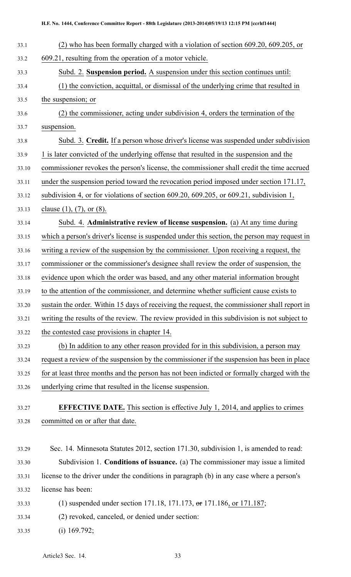- 33.1 (2) who has been formally charged with <sup>a</sup> violation of section 609.20, 609.205, or 33.2 609.21, resulting from the operation of <sup>a</sup> motor vehicle. 33.3 Subd. 2. **Suspension period.** A suspension under this section continues until: 33.4 (1) the conviction, acquittal, or dismissal of the underlying crime that resulted in 33.5 the suspension; or 33.6 (2) the commissioner, acting under subdivision 4, orders the termination of the 33.7 suspension. 33.8 Subd. 3. **Credit.** If <sup>a</sup> person whose driver's license was suspended under subdivision 33.9 1 is later convicted of the underlying offense that resulted in the suspension and the 33.10 commissioner revokes the person's license, the commissioner shall credit the time accrued 33.11 under the suspension period toward the revocation period imposed under section 171.17, 33.12 subdivision 4, or for violations of section 609.20, 609.205, or 609.21, subdivision 1, 33.13 clause (1), (7), or (8). 33.14 Subd. 4. **Administrative review of license suspension.** (a) At any time during 33.15 which <sup>a</sup> person's driver's license is suspended under this section, the person may reques<sup>t</sup> in 33.16 writing <sup>a</sup> review of the suspension by the commissioner. Upon receiving <sup>a</sup> request, the 33.17 commissioner or the commissioner's designee shall review the order of suspension, the 33.18 evidence upon which the order was based, and any other material information brought 33.19 to the attention of the commissioner, and determine whether sufficient cause exists to 33.20 sustain the order. Within 15 days of receiving the request, the commissioner shall repor<sup>t</sup> in 33.21 writing the results of the review. The review provided in this subdivision is not subject to 33.22 the contested case provisions in chapter 14. 33.23 (b) In addition to any other reason provided for in this subdivision, <sup>a</sup> person may 33.24 reques<sup>t</sup> <sup>a</sup> review of the suspension by the commissioner if the suspension has been in place 33.25 for at least three months and the person has not been indicted or formally charged with the 33.26 underlying crime that resulted in the license suspension. 33.27 **EFFECTIVE DATE.** This section is effective July 1, 2014, and applies to crimes 33.28 committed on or after that date. 33.29 Sec. 14. Minnesota Statutes 2012, section 171.30, subdivision 1, is amended to read: 33.30 Subdivision 1. **Conditions of issuance.** (a) The commissioner may issue <sup>a</sup> limited 33.31 license to the driver under the conditions in paragraph (b) in any case where <sup>a</sup> person's 33.32 license has been: 33.33 (1) suspended under section 171.18, 171.173, or 171.186, or 171.187; 33.34 (2) revoked, canceled, or denied under section:
- 33.35 (i) 169.792;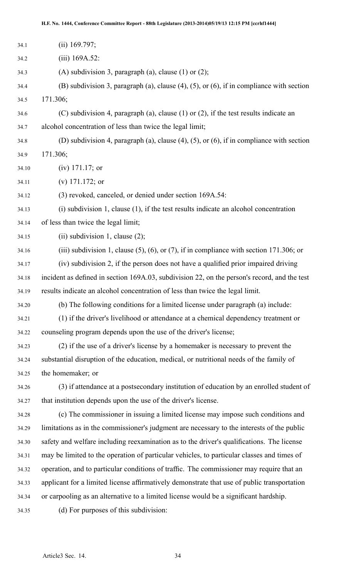| 34.1  | $(ii)$ 169.797;                                                                                   |
|-------|---------------------------------------------------------------------------------------------------|
| 34.2  | $(iii)$ 169A.52:                                                                                  |
| 34.3  | (A) subdivision 3, paragraph (a), clause $(1)$ or $(2)$ ;                                         |
| 34.4  | (B) subdivision 3, paragraph (a), clause $(4)$ , $(5)$ , or $(6)$ , if in compliance with section |
| 34.5  | 171.306;                                                                                          |
| 34.6  | (C) subdivision 4, paragraph (a), clause $(1)$ or $(2)$ , if the test results indicate an         |
| 34.7  | alcohol concentration of less than twice the legal limit;                                         |
| 34.8  | (D) subdivision 4, paragraph (a), clause $(4)$ , $(5)$ , or $(6)$ , if in compliance with section |
| 34.9  | 171.306;                                                                                          |
| 34.10 | $(iv)$ 171.17; or                                                                                 |
| 34.11 | (v) $171.172$ ; or                                                                                |
| 34.12 | (3) revoked, canceled, or denied under section 169A.54:                                           |
| 34.13 | $(i)$ subdivision 1, clause $(1)$ , if the test results indicate an alcohol concentration         |
| 34.14 | of less than twice the legal limit;                                                               |
| 34.15 | (ii) subdivision 1, clause $(2)$ ;                                                                |
| 34.16 | (iii) subdivision 1, clause $(5)$ , $(6)$ , or $(7)$ , if in compliance with section 171.306; or  |
| 34.17 | (iv) subdivision 2, if the person does not have a qualified prior impaired driving                |
| 34.18 | incident as defined in section 169A.03, subdivision 22, on the person's record, and the test      |
| 34.19 | results indicate an alcohol concentration of less than twice the legal limit.                     |
| 34.20 | (b) The following conditions for a limited license under paragraph (a) include:                   |
| 34.21 | (1) if the driver's livelihood or attendance at a chemical dependency treatment or                |
| 34.22 | counseling program depends upon the use of the driver's license;                                  |
| 34.23 | (2) if the use of a driver's license by a homemaker is necessary to prevent the                   |
| 34.24 | substantial disruption of the education, medical, or nutritional needs of the family of           |
| 34.25 | the homemaker; or                                                                                 |
| 34.26 | (3) if attendance at a postsecondary institution of education by an enrolled student of           |
| 34.27 | that institution depends upon the use of the driver's license.                                    |
| 34.28 | (c) The commissioner in issuing a limited license may impose such conditions and                  |
| 34.29 | limitations as in the commissioner's judgment are necessary to the interests of the public        |
| 34.30 | safety and welfare including reexamination as to the driver's qualifications. The license         |
| 34.31 | may be limited to the operation of particular vehicles, to particular classes and times of        |
| 34.32 | operation, and to particular conditions of traffic. The commissioner may require that an          |
| 34.33 | applicant for a limited license affirmatively demonstrate that use of public transportation       |
| 34.34 | or carpooling as an alternative to a limited license would be a significant hardship.             |
| 34.35 | (d) For purposes of this subdivision:                                                             |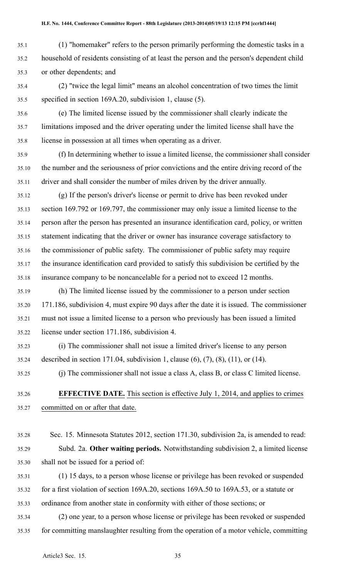- 35.1 (1) "homemaker" refers to the person primarily performing the domestic tasks in <sup>a</sup> 35.2 household of residents consisting of at least the person and the person's dependent child 35.3 or other dependents; and
- 35.4 (2) "twice the legal limit" means an alcohol concentration of two times the limit 35.5 specified in section 169A.20, subdivision 1, clause (5).
- 35.6 (e) The limited license issued by the commissioner shall clearly indicate the 35.7 limitations imposed and the driver operating under the limited license shall have the 35.8 license in possession at all times when operating as <sup>a</sup> driver.
- 35.9 (f) In determining whether to issue <sup>a</sup> limited license, the commissioner shall consider 35.10 the number and the seriousness of prior convictions and the entire driving record of the 35.11 driver and shall consider the number of miles driven by the driver annually.
- 35.12 (g) If the person's driver's license or permit to drive has been revoked under 35.13 section 169.792 or 169.797, the commissioner may only issue <sup>a</sup> limited license to the 35.14 person after the person has presented an insurance identification card, policy, or written 35.15 statement indicating that the driver or owner has insurance coverage satisfactory to 35.16 the commissioner of public safety. The commissioner of public safety may require 35.17 the insurance identification card provided to satisfy this subdivision be certified by the 35.18 insurance company to be noncancelable for <sup>a</sup> period not to exceed 12 months.
- 35.19 (h) The limited license issued by the commissioner to <sup>a</sup> person under section 35.20 171.186, subdivision 4, must expire 90 days after the date it is issued. The commissioner 35.21 must not issue <sup>a</sup> limited license to <sup>a</sup> person who previously has been issued <sup>a</sup> limited 35.22 license under section 171.186, subdivision 4.
- 35.23 (i) The commissioner shall not issue <sup>a</sup> limited driver's license to any person 35.24 described in section 171.04, subdivision 1, clause (6), (7), (8), (11), or (14).
- 35.25 (j) The commissioner shall not issue <sup>a</sup> class A, class B, or class C limited license.
	- 35.26 **EFFECTIVE DATE.** This section is effective July 1, 2014, and applies to crimes 35.27 committed on or after that date.
	- 35.28 Sec. 15. Minnesota Statutes 2012, section 171.30, subdivision 2a, is amended to read: 35.29 Subd. 2a. **Other waiting periods.** Notwithstanding subdivision 2, <sup>a</sup> limited license 35.30 shall not be issued for <sup>a</sup> period of:
	- 35.31 (1) 15 days, to <sup>a</sup> person whose license or privilege has been revoked or suspended 35.32 for <sup>a</sup> first violation of section 169A.20, sections 169A.50 to 169A.53, or <sup>a</sup> statute or
	- 35.33 ordinance from another state in conformity with either of those sections; or
	- 35.34 (2) one year, to <sup>a</sup> person whose license or privilege has been revoked or suspended 35.35 for committing manslaughter resulting from the operation of <sup>a</sup> motor vehicle, committing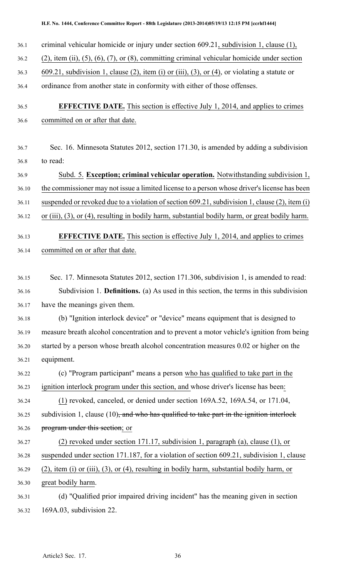- 36.1 criminal vehicular homicide or injury under section 609.21, subdivision 1, clause (1),
- 36.2 (2), item (ii), (5), (6), (7), or (8), committing criminal vehicular homicide under section
- 36.3 609.21, subdivision 1, clause (2), item (i) or (iii), (3), or (4), or violating <sup>a</sup> statute or
- 36.4 ordinance from another state in conformity with either of those offenses.
- 36.5 **EFFECTIVE DATE.** This section is effective July 1, 2014, and applies to crimes 36.6 committed on or after that date.
- 36.7 Sec. 16. Minnesota Statutes 2012, section 171.30, is amended by adding <sup>a</sup> subdivision 36.8 to read:
- 36.9 Subd. 5. **Exception; criminal vehicular operation.** Notwithstanding subdivision 1, 36.10 the commissioner may not issue a limited license to a person whose driver's license has been 36.11 suspended or revoked due to <sup>a</sup> violation of section 609.21, subdivision 1, clause (2), item (i) 36.12 or (iii), (3), or (4), resulting in bodily harm, substantial bodily harm, or grea<sup>t</sup> bodily harm.
- 36.13 **EFFECTIVE DATE.** This section is effective July 1, 2014, and applies to crimes 36.14 committed on or after that date.
- 36.15 Sec. 17. Minnesota Statutes 2012, section 171.306, subdivision 1, is amended to read: 36.16 Subdivision 1. **Definitions.** (a) As used in this section, the terms in this subdivision 36.17 have the meanings given them.
- 36.18 (b) "Ignition interlock device" or "device" means equipment that is designed to 36.19 measure breath alcohol concentration and to preven<sup>t</sup> <sup>a</sup> motor vehicle's ignition from being 36.20 started by <sup>a</sup> person whose breath alcohol concentration measures 0.02 or higher on the 36.21 equipment.
- 36.22 (c) "Program participant" means <sup>a</sup> person who has qualified to take par<sup>t</sup> in the 36.23 ignition interlock program under this section, and whose driver's license has been:
- 36.24 (1) revoked, canceled, or denied under section 169A.52, 169A.54, or 171.04, 36.25 subdivision 1, clause  $(10)$ , and who has qualified to take part in the ignition interlock 36.26 program under this section; or
- 36.27 (2) revoked under section 171.17, subdivision 1, paragraph (a), clause (1), or 36.28 suspended under section 171.187, for <sup>a</sup> violation of section 609.21, subdivision 1, clause
- 36.29 (2), item (i) or (iii), (3), or (4), resulting in bodily harm, substantial bodily harm, or
- 36.30 grea<sup>t</sup> bodily harm.
- 36.31 (d) "Qualified prior impaired driving incident" has the meaning given in section 36.32 169A.03, subdivision 22.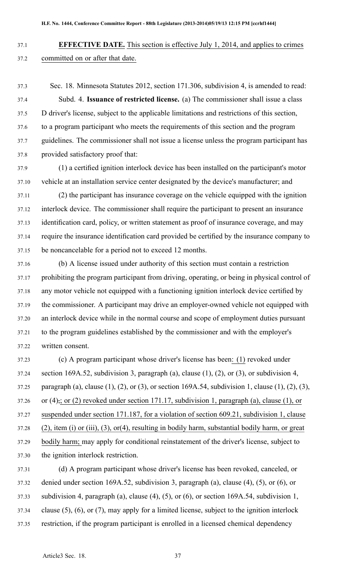- 37.1 **EFFECTIVE DATE.** This section is effective July 1, 2014, and applies to crimes 37.2 committed on or after that date.
- 37.3 Sec. 18. Minnesota Statutes 2012, section 171.306, subdivision 4, is amended to read: 37.4 Subd. 4. **Issuance of restricted license.** (a) The commissioner shall issue <sup>a</sup> class 37.5 D driver's license, subject to the applicable limitations and restrictions of this section, 37.6 to <sup>a</sup> program participant who meets the requirements of this section and the program 37.7 guidelines. The commissioner shall not issue <sup>a</sup> license unless the program participant has 37.8 provided satisfactory proof that:
- 37.9 (1) <sup>a</sup> certified ignition interlock device has been installed on the participant's motor 37.10 vehicle at an installation service center designated by the device's manufacturer; and
- 37.11 (2) the participant has insurance coverage on the vehicle equipped with the ignition 37.12 interlock device. The commissioner shall require the participant to presen<sup>t</sup> an insurance 37.13 identification card, policy, or written statement as proof of insurance coverage, and may 37.14 require the insurance identification card provided be certified by the insurance company to 37.15 be noncancelable for <sup>a</sup> period not to exceed 12 months.
- 37.16 (b) A license issued under authority of this section must contain <sup>a</sup> restriction 37.17 prohibiting the program participant from driving, operating, or being in physical control of 37.18 any motor vehicle not equipped with <sup>a</sup> functioning ignition interlock device certified by 37.19 the commissioner. A participant may drive an employer-owned vehicle not equipped with 37.20 an interlock device while in the normal course and scope of employment duties pursuan<sup>t</sup> 37.21 to the program guidelines established by the commissioner and with the employer's 37.22 written consent.
- 37.23 (c) A program participant whose driver's license has been: (1) revoked under 37.24 section 169A.52, subdivision 3, paragraph (a), clause (1), (2), or (3), or subdivision 4, 37.25 paragraph (a), clause (1), (2), or (3), or section 169A.54, subdivision 1, clause (1), (2), (3), 37.26 or (4), or (2) revoked under section 171.17, subdivision 1, paragraph (a), clause (1), or 37.27 suspended under section 171.187, for <sup>a</sup> violation of section 609.21, subdivision 1, clause 37.28 (2), item (i) or (iii), (3), or(4), resulting in bodily harm, substantial bodily harm, or grea<sup>t</sup> 37.29 bodily harm; may apply for conditional reinstatement of the driver's license, subject to 37.30 the ignition interlock restriction.
- 37.31 (d) A program participant whose driver's license has been revoked, canceled, or 37.32 denied under section 169A.52, subdivision 3, paragraph (a), clause (4), (5), or (6), or 37.33 subdivision 4, paragraph (a), clause (4), (5), or (6), or section 169A.54, subdivision 1, 37.34 clause (5), (6), or (7), may apply for <sup>a</sup> limited license, subject to the ignition interlock 37.35 restriction, if the program participant is enrolled in <sup>a</sup> licensed chemical dependency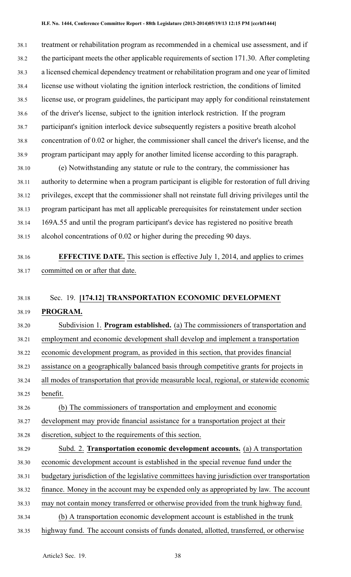38.1 treatment or rehabilitation program as recommended in <sup>a</sup> chemical use assessment, and if 38.2 the participant meets the other applicable requirements of section 171.30. After completing 38.3 <sup>a</sup> licensed chemical dependency treatment or rehabilitation program and one year of limited 38.4 license use without violating the ignition interlock restriction, the conditions of limited 38.5 license use, or program guidelines, the participant may apply for conditional reinstatement 38.6 of the driver's license, subject to the ignition interlock restriction. If the program 38.7 participant's ignition interlock device subsequently registers <sup>a</sup> positive breath alcohol 38.8 concentration of 0.02 or higher, the commissioner shall cancel the driver's license, and the 38.9 program participant may apply for another limited license according to this paragraph.

38.10 (e) Notwithstanding any statute or rule to the contrary, the commissioner has 38.11 authority to determine when <sup>a</sup> program participant is eligible for restoration of full driving 38.12 privileges, excep<sup>t</sup> that the commissioner shall not reinstate full driving privileges until the 38.13 program participant has met all applicable prerequisites for reinstatement under section 38.14 169A.55 and until the program participant's device has registered no positive breath 38.15 alcohol concentrations of 0.02 or higher during the preceding 90 days.

# 38.16 **EFFECTIVE DATE.** This section is effective July 1, 2014, and applies to crimes 38.17 committed on or after that date.

## 38.18 Sec. 19. **[174.12] TRANSPORTATION ECONOMIC DEVELOPMENT**

## 38.19 **PROGRAM.**

38.20 Subdivision 1. **Program established.** (a) The commissioners of transportation and 38.21 employment and economic development shall develop and implement <sup>a</sup> transportation 38.22 economic development program, as provided in this section, that provides financial 38.23 assistance on <sup>a</sup> geographically balanced basis through competitive grants for projects in 38.24 all modes of transportation that provide measurable local, regional, or statewide economic 38.25 benefit.

38.26 (b) The commissioners of transportation and employment and economic 38.27 development may provide financial assistance for <sup>a</sup> transportation project at their

- 38.28 discretion, subject to the requirements of this section.
- 38.29 Subd. 2. **Transportation economic development accounts.** (a) A transportation 38.30 economic development account is established in the special revenue fund under the 38.31 budgetary jurisdiction of the legislative committees having jurisdiction over transportation 38.32 finance. Money in the account may be expended only as appropriated by law. The account 38.33 may not contain money transferred or otherwise provided from the trunk highway fund. 38.34 (b) A transportation economic development account is established in the trunk 38.35 highway fund. The account consists of funds donated, allotted, transferred, or otherwise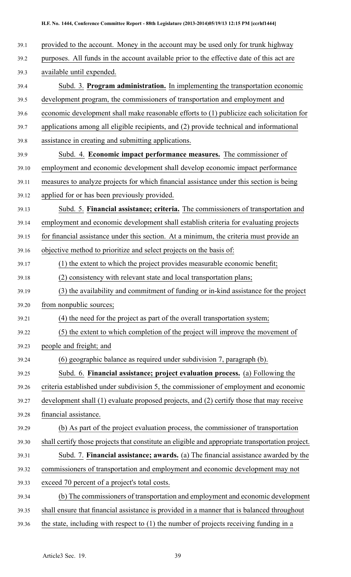- 39.1 provided to the account. Money in the account may be used only for trunk highway 39.2 purposes. All funds in the account available prior to the effective date of this act are 39.3 available until expended. 39.4 Subd. 3. **Program administration.** In implementing the transportation economic 39.5 development program, the commissioners of transportation and employment and 39.6 economic development shall make reasonable efforts to (1) publicize each solicitation for 39.7 applications among all eligible recipients, and (2) provide technical and informational 39.8 assistance in creating and submitting applications. 39.9 Subd. 4. **Economic impact performance measures.** The commissioner of 39.10 employment and economic development shall develop economic impact performance 39.11 measures to analyze projects for which financial assistance under this section is being 39.12 applied for or has been previously provided. 39.13 Subd. 5. **Financial assistance; criteria.** The commissioners of transportation and 39.14 employment and economic development shall establish criteria for evaluating projects 39.15 for financial assistance under this section. At <sup>a</sup> minimum, the criteria must provide an 39.16 objective method to prioritize and select projects on the basis of: 39.17 (1) the extent to which the project provides measurable economic benefit; 39.18 (2) consistency with relevant state and local transportation plans; 39.19 (3) the availability and commitment of funding or in-kind assistance for the project 39.20 from nonpublic sources; 39.21 (4) the need for the project as par<sup>t</sup> of the overall transportation system; 39.22 (5) the extent to which completion of the project will improve the movement of 39.23 people and freight; and 39.24 (6) geographic balance as required under subdivision 7, paragraph (b). 39.25 Subd. 6. **Financial assistance; project evaluation process.** (a) Following the 39.26 criteria established under subdivision 5, the commissioner of employment and economic 39.27 development shall (1) evaluate proposed projects, and (2) certify those that may receive 39.28 financial assistance. 39.29 (b) As par<sup>t</sup> of the project evaluation process, the commissioner of transportation 39.30 shall certify those projects that constitute an eligible and appropriate transportation project. 39.31 Subd. 7. **Financial assistance; awards.** (a) The financial assistance awarded by the 39.32 commissioners of transportation and employment and economic development may not 39.33 exceed 70 percen<sup>t</sup> of <sup>a</sup> project's total costs. 39.34 (b) The commissioners of transportation and employment and economic development
- 39.35 shall ensure that financial assistance is provided in <sup>a</sup> manner that is balanced throughout
- 
- 39.36 the state, including with respec<sup>t</sup> to (1) the number of projects receiving funding in <sup>a</sup>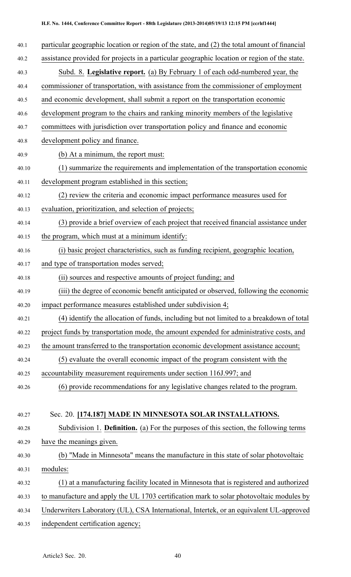| 40.1  | particular geographic location or region of the state, and (2) the total amount of financial |
|-------|----------------------------------------------------------------------------------------------|
| 40.2  | assistance provided for projects in a particular geographic location or region of the state. |
| 40.3  | Subd. 8. Legislative report. (a) By February 1 of each odd-numbered year, the                |
| 40.4  | commissioner of transportation, with assistance from the commissioner of employment          |
| 40.5  | and economic development, shall submit a report on the transportation economic               |
| 40.6  | development program to the chairs and ranking minority members of the legislative            |
| 40.7  | committees with jurisdiction over transportation policy and finance and economic             |
| 40.8  | development policy and finance.                                                              |
| 40.9  | (b) At a minimum, the report must:                                                           |
| 40.10 | (1) summarize the requirements and implementation of the transportation economic             |
| 40.11 | development program established in this section;                                             |
| 40.12 | (2) review the criteria and economic impact performance measures used for                    |
| 40.13 | evaluation, prioritization, and selection of projects;                                       |
| 40.14 | (3) provide a brief overview of each project that received financial assistance under        |
| 40.15 | the program, which must at a minimum identify:                                               |
| 40.16 | (i) basic project characteristics, such as funding recipient, geographic location,           |
| 40.17 | and type of transportation modes served;                                                     |
| 40.18 | (ii) sources and respective amounts of project funding; and                                  |
| 40.19 | (iii) the degree of economic benefit anticipated or observed, following the economic         |
| 40.20 | impact performance measures established under subdivision 4;                                 |
| 40.21 | (4) identify the allocation of funds, including but not limited to a breakdown of total      |
| 40.22 | project funds by transportation mode, the amount expended for administrative costs, and      |
| 40.23 | the amount transferred to the transportation economic development assistance account;        |
| 40.24 | (5) evaluate the overall economic impact of the program consistent with the                  |
| 40.25 | accountability measurement requirements under section 116J.997; and                          |
| 40.26 | (6) provide recommendations for any legislative changes related to the program.              |
|       |                                                                                              |
| 40.27 | Sec. 20. [174.187] MADE IN MINNESOTA SOLAR INSTALLATIONS.                                    |
| 40.28 | Subdivision 1. <b>Definition.</b> (a) For the purposes of this section, the following terms  |
| 40.29 | have the meanings given.                                                                     |
| 40.30 | (b) "Made in Minnesota" means the manufacture in this state of solar photovoltaic            |
| 40.31 | modules:                                                                                     |
| 40.32 | (1) at a manufacturing facility located in Minnesota that is registered and authorized       |
| 40.33 | to manufacture and apply the UL 1703 certification mark to solar photovoltaic modules by     |
| 40.34 | Underwriters Laboratory (UL), CSA International, Intertek, or an equivalent UL-approved      |
| 40.35 | independent certification agency;                                                            |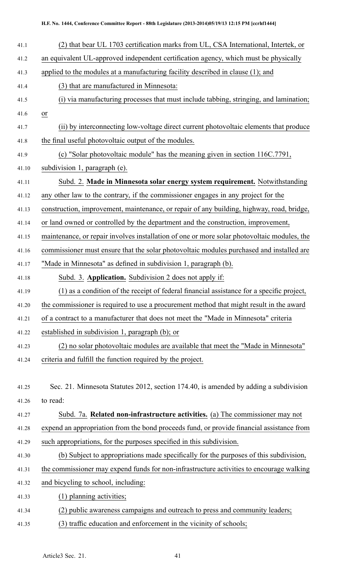| 41.1  | (2) that bear UL 1703 certification marks from UL, CSA International, Intertek, or          |  |  |
|-------|---------------------------------------------------------------------------------------------|--|--|
| 41.2  | an equivalent UL-approved independent certification agency, which must be physically        |  |  |
| 41.3  | applied to the modules at a manufacturing facility described in clause (1); and             |  |  |
| 41.4  | (3) that are manufactured in Minnesota:                                                     |  |  |
| 41.5  | (i) via manufacturing processes that must include tabbing, stringing, and lamination;       |  |  |
| 41.6  | $\overline{or}$                                                                             |  |  |
| 41.7  | (ii) by interconnecting low-voltage direct current photovoltaic elements that produce       |  |  |
| 41.8  | the final useful photovoltaic output of the modules.                                        |  |  |
| 41.9  | (c) "Solar photovoltaic module" has the meaning given in section 116C.7791,                 |  |  |
| 41.10 | subdivision 1, paragraph (e).                                                               |  |  |
| 41.11 | Subd. 2. Made in Minnesota solar energy system requirement. Notwithstanding                 |  |  |
| 41.12 | any other law to the contrary, if the commissioner engages in any project for the           |  |  |
| 41.13 | construction, improvement, maintenance, or repair of any building, highway, road, bridge,   |  |  |
| 41.14 | or land owned or controlled by the department and the construction, improvement,            |  |  |
| 41.15 | maintenance, or repair involves installation of one or more solar photovoltaic modules, the |  |  |
| 41.16 | commissioner must ensure that the solar photovoltaic modules purchased and installed are    |  |  |
| 41.17 | "Made in Minnesota" as defined in subdivision 1, paragraph (b).                             |  |  |
| 41.18 | Subd. 3. Application. Subdivision 2 does not apply if:                                      |  |  |
| 41.19 | (1) as a condition of the receipt of federal financial assistance for a specific project,   |  |  |
| 41.20 | the commissioner is required to use a procurement method that might result in the award     |  |  |
| 41.21 | of a contract to a manufacturer that does not meet the "Made in Minnesota" criteria         |  |  |
| 41.22 | established in subdivision 1, paragraph (b); or                                             |  |  |
| 41.23 | (2) no solar photovoltaic modules are available that meet the "Made in Minnesota"           |  |  |
| 41.24 | criteria and fulfill the function required by the project.                                  |  |  |
|       |                                                                                             |  |  |
| 41.25 | Sec. 21. Minnesota Statutes 2012, section 174.40, is amended by adding a subdivision        |  |  |
| 41.26 | to read:                                                                                    |  |  |
| 41.27 | Subd. 7a. Related non-infrastructure activities. (a) The commissioner may not               |  |  |
| 41.28 | expend an appropriation from the bond proceeds fund, or provide financial assistance from   |  |  |
| 41.29 | such appropriations, for the purposes specified in this subdivision.                        |  |  |
| 41.30 | (b) Subject to appropriations made specifically for the purposes of this subdivision,       |  |  |
| 41.31 | the commissioner may expend funds for non-infrastructure activities to encourage walking    |  |  |
| 41.32 | and bicycling to school, including:                                                         |  |  |
| 41.33 | (1) planning activities;                                                                    |  |  |
| 41.34 | (2) public awareness campaigns and outreach to press and community leaders;                 |  |  |
| 41.35 | (3) traffic education and enforcement in the vicinity of schools;                           |  |  |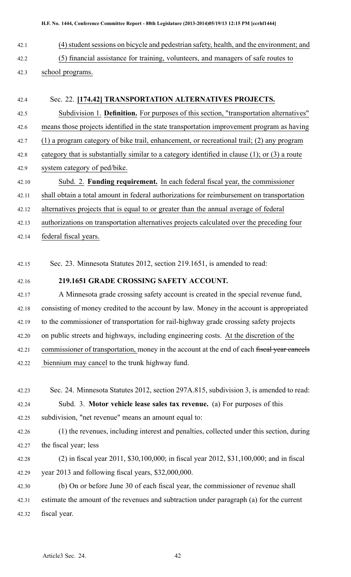- 42.1 (4) student sessions on bicycle and pedestrian safety, health, and the environment; and 42.2 (5) financial assistance for training, volunteers, and managers of safe routes to 42.3 school programs.
- 42.4 Sec. 22. **[174.42] TRANSPORTATION ALTERNATIVES PROJECTS.** 42.5 Subdivision 1. **Definition.** For purposes of this section, "transportation alternatives" 42.6 means those projects identified in the state transportation improvement program as having 42.7 (1) <sup>a</sup> program category of bike trail, enhancement, or recreational trail; (2) any program 42.8 category that is substantially similar to <sup>a</sup> category identified in clause (1); or (3) <sup>a</sup> route 42.9 system category of ped/bike. 42.10 Subd. 2. **Funding requirement.** In each federal fiscal year, the commissioner 42.11 shall obtain <sup>a</sup> total amount in federal authorizations for reimbursement on transportation 42.12 alternatives projects that is equal to or greater than the annual average of federal 42.13 authorizations on transportation alternatives projects calculated over the preceding four 42.14 federal fiscal years.
- 42.15 Sec. 23. Minnesota Statutes 2012, section 219.1651, is amended to read:
- 

## 42.16 **219.1651 GRADE CROSSING SAFETY ACCOUNT.**

- 42.17 A Minnesota grade crossing safety account is created in the special revenue fund, 42.18 consisting of money credited to the account by law. Money in the account is appropriated 42.19 to the commissioner of transportation for rail-highway grade crossing safety projects 42.20 on public streets and highways, including engineering costs. At the discretion of the 42.21 commissioner of transportation, money in the account at the end of each fiscal year cancels 42.22 biennium may cancel to the trunk highway fund.
- 42.23 Sec. 24. Minnesota Statutes 2012, section 297A.815, subdivision 3, is amended to read: 42.24 Subd. 3. **Motor vehicle lease sales tax revenue.** (a) For purposes of this 42.25 subdivision, "net revenue" means an amount equal to: 42.26 (1) the revenues, including interest and penalties, collected under this section, during
- 42.27 the fiscal year; less
- 42.28 (2) in fiscal year 2011, \$30,100,000; in fiscal year 2012, \$31,100,000; and in fiscal 42.29 year 2013 and following fiscal years, \$32,000,000.

42.30 (b) On or before June 30 of each fiscal year, the commissioner of revenue shall 42.31 estimate the amount of the revenues and subtraction under paragraph (a) for the current 42.32 fiscal year.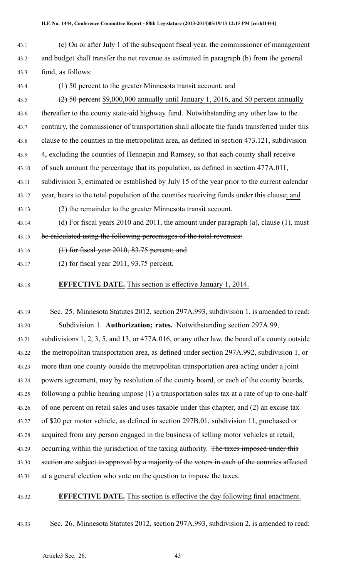- 43.1 (c) On or after July 1 of the subsequent fiscal year, the commissioner of managemen<sup>t</sup> 43.2 and budget shall transfer the net revenue as estimated in paragraph (b) from the general 43.3 fund, as follows:
- 

## 43.4 (1) 50 percent to the greater Minnesota transit account; and

- 43.5  $(2)$  50 percent \$9,000,000 annually until January 1, 2016, and 50 percent annually 43.6 thereafter to the county state-aid highway fund. Notwithstanding any other law to the 43.7 contrary, the commissioner of transportation shall allocate the funds transferred under this 43.8 clause to the counties in the metropolitan area, as defined in section 473.121, subdivision 43.9 4, excluding the counties of Hennepin and Ramsey, so that each county shall receive 43.10 of such amount the percentage that its population, as defined in section 477A.011, 43.11 subdivision 3, estimated or established by July 15 of the year prior to the current calendar 43.12 year, bears to the total population of the counties receiving funds under this clause; and 43.13 (2) the remainder to the greater Minnesota transit account. 43.14 (d) For fiscal years 2010 and 2011, the amount under paragraph (a), clause (1), must
- 43.15 be calculated using the following percentages of the total revenues:
- 43.16 (1) for fiscal year 2010, 83.75 percent; and
- 43.17 (2) for fiscal year 2011, 93.75 percent.
- 43.18 **EFFECTIVE DATE.** This section is effective January 1, 2014.
- 43.19 Sec. 25. Minnesota Statutes 2012, section 297A.993, subdivision 1, is amended to read: 43.20 Subdivision 1. **Authorization; rates.** Notwithstanding section 297A.99, 43.21 subdivisions 1, 2, 3, 5, and 13, or 477A.016, or any other law, the board of <sup>a</sup> county outside 43.22 the metropolitan transportation area, as defined under section 297A.992, subdivision 1, or 43.23 more than one county outside the metropolitan transportation area acting under <sup>a</sup> joint 43.24 powers agreement, may by resolution of the county board, or each of the county boards, 43.25 following <sup>a</sup> public hearing impose (1) <sup>a</sup> transportation sales tax at <sup>a</sup> rate of up to one-half 43.26 of one percen<sup>t</sup> on retail sales and uses taxable under this chapter, and (2) an excise tax 43.27 of \$20 per motor vehicle, as defined in section 297B.01, subdivision 11, purchased or 43.28 acquired from any person engaged in the business of selling motor vehicles at retail, 43.29 occurring within the jurisdiction of the taxing authority. The taxes imposed under this 43.30 section are subject to approval by a majority of the voters in each of the counties affected 43.31 at a general election who vote on the question to impose the taxes.
- 43.32 **EFFECTIVE DATE.** This section is effective the day following final enactment.
- 43.33 Sec. 26. Minnesota Statutes 2012, section 297A.993, subdivision 2, is amended to read: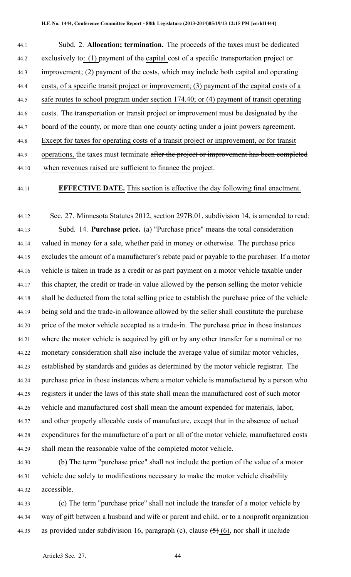| 44.1  | Subd. 2. Allocation; termination. The proceeds of the taxes must be dedicated              |
|-------|--------------------------------------------------------------------------------------------|
| 44.2  | exclusively to: (1) payment of the capital cost of a specific transportation project or    |
| 44.3  | improvement; (2) payment of the costs, which may include both capital and operating        |
| 44.4  | costs, of a specific transit project or improvement; (3) payment of the capital costs of a |
| 44.5  | safe routes to school program under section 174.40; or (4) payment of transit operating    |
| 44.6  | costs. The transportation or transit project or improvement must be designated by the      |
| 44.7  | board of the county, or more than one county acting under a joint powers agreement.        |
| 44.8  | Except for taxes for operating costs of a transit project or improvement, or for transit   |
| 44.9  | operations, the taxes must terminate after the project or improvement has been completed   |
| 44.10 | when revenues raised are sufficient to finance the project.                                |

#### 44.11 **EFFECTIVE DATE.** This section is effective the day following final enactment.

44.12 Sec. 27. Minnesota Statutes 2012, section 297B.01, subdivision 14, is amended to read: 44.13 Subd. 14. **Purchase price.** (a) "Purchase price" means the total consideration 44.14 valued in money for <sup>a</sup> sale, whether paid in money or otherwise. The purchase price 44.15 excludes the amount of <sup>a</sup> manufacturer's rebate paid or payable to the purchaser. If <sup>a</sup> motor 44.16 vehicle is taken in trade as <sup>a</sup> credit or as par<sup>t</sup> paymen<sup>t</sup> on <sup>a</sup> motor vehicle taxable under 44.17 this chapter, the credit or trade-in value allowed by the person selling the motor vehicle 44.18 shall be deducted from the total selling price to establish the purchase price of the vehicle 44.19 being sold and the trade-in allowance allowed by the seller shall constitute the purchase 44.20 price of the motor vehicle accepted as <sup>a</sup> trade-in. The purchase price in those instances 44.21 where the motor vehicle is acquired by gift or by any other transfer for <sup>a</sup> nominal or no 44.22 monetary consideration shall also include the average value of similar motor vehicles, 44.23 established by standards and guides as determined by the motor vehicle registrar. The 44.24 purchase price in those instances where <sup>a</sup> motor vehicle is manufactured by <sup>a</sup> person who 44.25 registers it under the laws of this state shall mean the manufactured cost of such motor 44.26 vehicle and manufactured cost shall mean the amount expended for materials, labor, 44.27 and other properly allocable costs of manufacture, excep<sup>t</sup> that in the absence of actual 44.28 expenditures for the manufacture of <sup>a</sup> par<sup>t</sup> or all of the motor vehicle, manufactured costs 44.29 shall mean the reasonable value of the completed motor vehicle.

44.30 (b) The term "purchase price" shall not include the portion of the value of <sup>a</sup> motor 44.31 vehicle due solely to modifications necessary to make the motor vehicle disability 44.32 accessible.

44.33 (c) The term "purchase price" shall not include the transfer of <sup>a</sup> motor vehicle by 44.34 way of gift between <sup>a</sup> husband and wife or paren<sup>t</sup> and child, or to <sup>a</sup> nonprofit organization 44.35 as provided under subdivision 16, paragraph (c), clause  $(5)$  (6), nor shall it include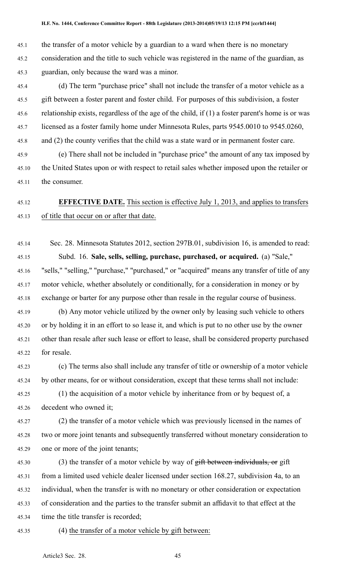45.1 the transfer of <sup>a</sup> motor vehicle by <sup>a</sup> guardian to <sup>a</sup> ward when there is no monetary 45.2 consideration and the title to such vehicle was registered in the name of the guardian, as 45.3 guardian, only because the ward was <sup>a</sup> minor.

45.4 (d) The term "purchase price" shall not include the transfer of <sup>a</sup> motor vehicle as <sup>a</sup> 45.5 gift between <sup>a</sup> foster paren<sup>t</sup> and foster child. For purposes of this subdivision, <sup>a</sup> foster 45.6 relationship exists, regardless of the age of the child, if (1) <sup>a</sup> foster parent's home is or was 45.7 licensed as <sup>a</sup> foster family home under Minnesota Rules, parts 9545.0010 to 9545.0260, 45.8 and (2) the county verifies that the child was <sup>a</sup> state ward or in permanen<sup>t</sup> foster care.

45.9 (e) There shall not be included in "purchase price" the amount of any tax imposed by 45.10 the United States upon or with respec<sup>t</sup> to retail sales whether imposed upon the retailer or 45.11 the consumer.

# 45.12 **EFFECTIVE DATE.** This section is effective July 1, 2013, and applies to transfers 45.13 of title that occur on or after that date.

45.14 Sec. 28. Minnesota Statutes 2012, section 297B.01, subdivision 16, is amended to read: 45.15 Subd. 16. **Sale, sells, selling, purchase, purchased, or acquired.** (a) "Sale," 45.16 "sells," "selling," "purchase," "purchased," or "acquired" means any transfer of title of any 45.17 motor vehicle, whether absolutely or conditionally, for <sup>a</sup> consideration in money or by 45.18 exchange or barter for any purpose other than resale in the regular course of business.

45.19 (b) Any motor vehicle utilized by the owner only by leasing such vehicle to others 45.20 or by holding it in an effort to so lease it, and which is pu<sup>t</sup> to no other use by the owner 45.21 other than resale after such lease or effort to lease, shall be considered property purchased 45.22 for resale.

45.23 (c) The terms also shall include any transfer of title or ownership of <sup>a</sup> motor vehicle 45.24 by other means, for or without consideration, excep<sup>t</sup> that these terms shall not include:

45.25 (1) the acquisition of <sup>a</sup> motor vehicle by inheritance from or by bequest of, <sup>a</sup> 45.26 decedent who owned it;

45.27 (2) the transfer of <sup>a</sup> motor vehicle which was previously licensed in the names of 45.28 two or more joint tenants and subsequently transferred without monetary consideration to 45.29 one or more of the joint tenants;

45.30 (3) the transfer of a motor vehicle by way of gift between individuals, or gift 45.31 from <sup>a</sup> limited used vehicle dealer licensed under section 168.27, subdivision 4a, to an 45.32 individual, when the transfer is with no monetary or other consideration or expectation 45.33 of consideration and the parties to the transfer submit an affidavit to that effect at the 45.34 time the title transfer is recorded;

45.35 (4) the transfer of <sup>a</sup> motor vehicle by gift between: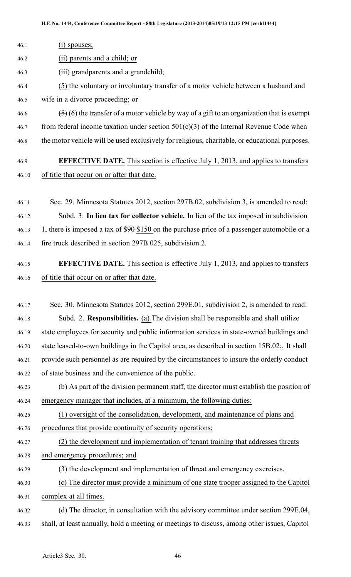| $(i)$ spouses;                                                                                            |
|-----------------------------------------------------------------------------------------------------------|
| (ii) parents and a child; or                                                                              |
| (iii) grandparents and a grandchild;                                                                      |
| (5) the voluntary or involuntary transfer of a motor vehicle between a husband and                        |
| wife in a divorce proceeding; or                                                                          |
| $(5)$ (6) the transfer of a motor vehicle by way of a gift to an organization that is exempt              |
| from federal income taxation under section $501(c)(3)$ of the Internal Revenue Code when                  |
| the motor vehicle will be used exclusively for religious, charitable, or educational purposes.            |
| <b>EFFECTIVE DATE.</b> This section is effective July 1, 2013, and applies to transfers                   |
| of title that occur on or after that date.                                                                |
|                                                                                                           |
| Sec. 29. Minnesota Statutes 2012, section 297B.02, subdivision 3, is amended to read:                     |
| Subd. 3. In lieu tax for collector vehicle. In lieu of the tax imposed in subdivision                     |
| 1, there is imposed a tax of \$90 \$150 on the purchase price of a passenger automobile or a              |
| fire truck described in section 297B.025, subdivision 2.                                                  |
| <b>EFFECTIVE DATE.</b> This section is effective July 1, 2013, and applies to transfers                   |
| of title that occur on or after that date.                                                                |
|                                                                                                           |
| Sec. 30. Minnesota Statutes 2012, section 299E.01, subdivision 2, is amended to read:                     |
| Subd. 2. Responsibilities. (a) The division shall be responsible and shall utilize                        |
| state employees for security and public information services in state-owned buildings and                 |
| state leased-to-own buildings in the Capitol area, as described in section $15B.02\frac{1}{2}$ . It shall |
| provide such personnel as are required by the circumstances to insure the orderly conduct                 |
| of state business and the convenience of the public.                                                      |
| (b) As part of the division permanent staff, the director must establish the position of                  |
| emergency manager that includes, at a minimum, the following duties:                                      |
| (1) oversight of the consolidation, development, and maintenance of plans and                             |
| procedures that provide continuity of security operations;                                                |
| (2) the development and implementation of tenant training that addresses threats                          |
| and emergency procedures; and                                                                             |
| (3) the development and implementation of threat and emergency exercises.                                 |
| (c) The director must provide a minimum of one state trooper assigned to the Capitol                      |
| complex at all times.                                                                                     |
|                                                                                                           |

46.32 (d) The director, in consultation with the advisory committee under section 299E.04, 46.33 shall, at least annually, hold <sup>a</sup> meeting or meetings to discuss, among other issues, Capitol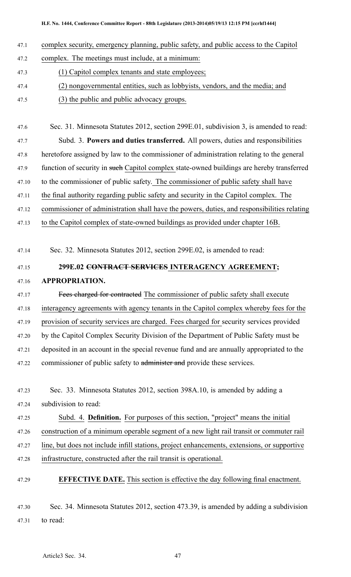- 47.1 complex security, emergency planning, public safety, and public access to the Capitol
- 47.2 complex. The meetings must include, at <sup>a</sup> minimum:
- 47.3 (1) Capitol complex tenants and state employees;
- 47.4 (2) nongovernmental entities, such as lobbyists, vendors, and the media; and
- 47.5 (3) the public and public advocacy groups.

47.6 Sec. 31. Minnesota Statutes 2012, section 299E.01, subdivision 3, is amended to read: 47.7 Subd. 3. **Powers and duties transferred.** All powers, duties and responsibilities 47.8 heretofore assigned by law to the commissioner of administration relating to the general 47.9 function of security in such Capitol complex state-owned buildings are hereby transferred 47.10 to the commissioner of public safety. The commissioner of public safety shall have 47.11 the final authority regarding public safety and security in the Capitol complex. The 47.12 commissioner of administration shall have the powers, duties, and responsibilities relating

47.13 to the Capitol complex of state-owned buildings as provided under chapter 16B.

47.14 Sec. 32. Minnesota Statutes 2012, section 299E.02, is amended to read:

# 47.15 **299E.02 CONTRACT SERVICES INTERAGENCY AGREEMENT;** 47.16 **APPROPRIATION.**

47.17 Fees charged for contracted The commissioner of public safety shall execute 47.18 interagency agreements with agency tenants in the Capitol complex whereby fees for the 47.19 provision of security services are charged. Fees charged for security services provided 47.20 by the Capitol Complex Security Division of the Department of Public Safety must be 47.21 deposited in an account in the special revenue fund and are annually appropriated to the 47.22 commissioner of public safety to administer and provide these services.

47.25 Subd. 4. **Definition.** For purposes of this section, "project" means the initial 47.26 construction of <sup>a</sup> minimum operable segmen<sup>t</sup> of <sup>a</sup> new light rail transit or commuter rail

47.27 line, but does not include infill stations, project enhancements, extensions, or supportive

- 47.28 infrastructure, constructed after the rail transit is operational.
- 47.29 **EFFECTIVE DATE.** This section is effective the day following final enactment.

47.30 Sec. 34. Minnesota Statutes 2012, section 473.39, is amended by adding <sup>a</sup> subdivision 47.31 to read:

<sup>47.23</sup> Sec. 33. Minnesota Statutes 2012, section 398A.10, is amended by adding <sup>a</sup> 47.24 subdivision to read: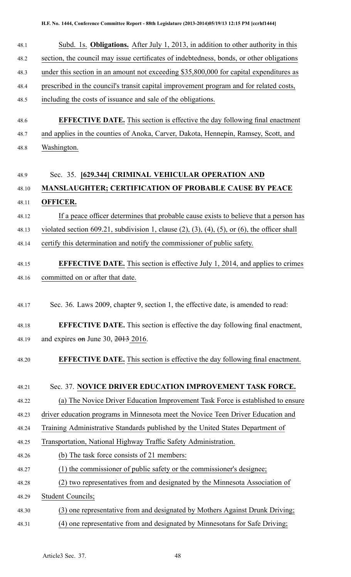| 48.1         | Subd. 1s. <b>Obligations.</b> After July 1, 2013, in addition to other authority in this                    |  |  |
|--------------|-------------------------------------------------------------------------------------------------------------|--|--|
| 48.2         | section, the council may issue certificates of indebtedness, bonds, or other obligations                    |  |  |
| 48.3         | under this section in an amount not exceeding \$35,800,000 for capital expenditures as                      |  |  |
| 48.4         | prescribed in the council's transit capital improvement program and for related costs,                      |  |  |
| 48.5         | including the costs of issuance and sale of the obligations.                                                |  |  |
|              |                                                                                                             |  |  |
| 48.6         | <b>EFFECTIVE DATE.</b> This section is effective the day following final enactment                          |  |  |
| 48.7<br>48.8 | and applies in the counties of Anoka, Carver, Dakota, Hennepin, Ramsey, Scott, and                          |  |  |
|              | Washington.                                                                                                 |  |  |
| 48.9         | Sec. 35. [629.344] CRIMINAL VEHICULAR OPERATION AND                                                         |  |  |
| 48.10        | <b>MANSLAUGHTER; CERTIFICATION OF PROBABLE CAUSE BY PEACE</b>                                               |  |  |
| 48.11        | <b>OFFICER.</b>                                                                                             |  |  |
| 48.12        | If a peace officer determines that probable cause exists to believe that a person has                       |  |  |
| 48.13        | violated section 609.21, subdivision 1, clause $(2)$ , $(3)$ , $(4)$ , $(5)$ , or $(6)$ , the officer shall |  |  |
| 48.14        | certify this determination and notify the commissioner of public safety.                                    |  |  |
| 48.15        | <b>EFFECTIVE DATE.</b> This section is effective July 1, 2014, and applies to crimes                        |  |  |
| 48.16        | committed on or after that date.                                                                            |  |  |
|              |                                                                                                             |  |  |
| 48.17        | Sec. 36. Laws 2009, chapter 9, section 1, the effective date, is amended to read:                           |  |  |
| 48.18        | <b>EFFECTIVE DATE.</b> This section is effective the day following final enactment,                         |  |  |
| 48.19        | and expires $\theta$ m June 30, 2013 2016.                                                                  |  |  |
| 48.20        | <b>EFFECTIVE DATE.</b> This section is effective the day following final enactment.                         |  |  |
|              |                                                                                                             |  |  |
| 48.21        | Sec. 37. NOVICE DRIVER EDUCATION IMPROVEMENT TASK FORCE.                                                    |  |  |
| 48.22        | (a) The Novice Driver Education Improvement Task Force is established to ensure                             |  |  |
| 48.23        | driver education programs in Minnesota meet the Novice Teen Driver Education and                            |  |  |
| 48.24        | Training Administrative Standards published by the United States Department of                              |  |  |
| 48.25        | Transportation, National Highway Traffic Safety Administration.                                             |  |  |
| 48.26        | (b) The task force consists of 21 members:                                                                  |  |  |
| 48.27        | (1) the commissioner of public safety or the commissioner's designee;                                       |  |  |
| 48.28        | (2) two representatives from and designated by the Minnesota Association of                                 |  |  |
| 48.29        | <b>Student Councils;</b>                                                                                    |  |  |
| 48.30        | (3) one representative from and designated by Mothers Against Drunk Driving;                                |  |  |
| 48.31        | (4) one representative from and designated by Minnesotans for Safe Driving;                                 |  |  |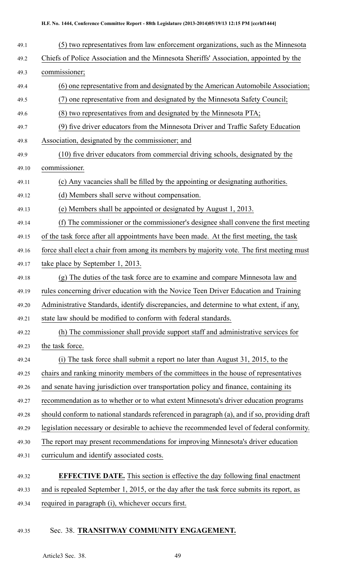| 49.1  | (5) two representatives from law enforcement organizations, such as the Minnesota            |  |  |
|-------|----------------------------------------------------------------------------------------------|--|--|
| 49.2  | Chiefs of Police Association and the Minnesota Sheriffs' Association, appointed by the       |  |  |
| 49.3  | commissioner;                                                                                |  |  |
| 49.4  | (6) one representative from and designated by the American Automobile Association;           |  |  |
| 49.5  | (7) one representative from and designated by the Minnesota Safety Council;                  |  |  |
| 49.6  | (8) two representatives from and designated by the Minnesota PTA;                            |  |  |
| 49.7  | (9) five driver educators from the Minnesota Driver and Traffic Safety Education             |  |  |
| 49.8  | Association, designated by the commissioner; and                                             |  |  |
| 49.9  | (10) five driver educators from commercial driving schools, designated by the                |  |  |
| 49.10 | commissioner.                                                                                |  |  |
| 49.11 | (c) Any vacancies shall be filled by the appointing or designating authorities.              |  |  |
| 49.12 | (d) Members shall serve without compensation.                                                |  |  |
| 49.13 | (e) Members shall be appointed or designated by August 1, 2013.                              |  |  |
| 49.14 | (f) The commissioner or the commissioner's designee shall convene the first meeting          |  |  |
| 49.15 | of the task force after all appointments have been made. At the first meeting, the task      |  |  |
| 49.16 | force shall elect a chair from among its members by majority vote. The first meeting must    |  |  |
| 49.17 | take place by September 1, 2013.                                                             |  |  |
| 49.18 | (g) The duties of the task force are to examine and compare Minnesota law and                |  |  |
| 49.19 | rules concerning driver education with the Novice Teen Driver Education and Training         |  |  |
| 49.20 | Administrative Standards, identify discrepancies, and determine to what extent, if any,      |  |  |
| 49.21 | state law should be modified to conform with federal standards.                              |  |  |
| 49.22 | (h) The commissioner shall provide support staff and administrative services for             |  |  |
| 49.23 | the task force.                                                                              |  |  |
| 49.24 | (i) The task force shall submit a report no later than August 31, 2015, to the               |  |  |
| 49.25 | chairs and ranking minority members of the committees in the house of representatives        |  |  |
| 49.26 | and senate having jurisdiction over transportation policy and finance, containing its        |  |  |
| 49.27 | recommendation as to whether or to what extent Minnesota's driver education programs         |  |  |
| 49.28 | should conform to national standards referenced in paragraph (a), and if so, providing draft |  |  |
| 49.29 | legislation necessary or desirable to achieve the recommended level of federal conformity.   |  |  |
| 49.30 | The report may present recommendations for improving Minnesota's driver education            |  |  |
| 49.31 | curriculum and identify associated costs.                                                    |  |  |
| 49.32 | <b>EFFECTIVE DATE.</b> This section is effective the day following final enactment           |  |  |
| 49.33 | and is repealed September 1, 2015, or the day after the task force submits its report, as    |  |  |
|       |                                                                                              |  |  |

49.34 required in paragraph (i), whichever occurs first.

# 49.35 Sec. 38. **TRANSITWAY COMMUNITY ENGAGEMENT.**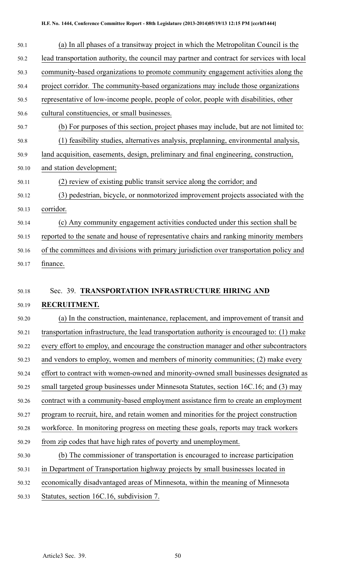#### **H.F. No. 1444, Conference Committee Report - 88th Legislature (2013-2014)05/19/13 12:15 PM [ccrhf1444]**

| 50.1  | (a) In all phases of a transitway project in which the Metropolitan Council is the          |
|-------|---------------------------------------------------------------------------------------------|
| 50.2  | lead transportation authority, the council may partner and contract for services with local |
| 50.3  | community-based organizations to promote community engagement activities along the          |
| 50.4  | project corridor. The community-based organizations may include those organizations         |
| 50.5  | representative of low-income people, people of color, people with disabilities, other       |
| 50.6  | cultural constituencies, or small businesses.                                               |
| 50.7  | (b) For purposes of this section, project phases may include, but are not limited to:       |
| 50.8  | (1) feasibility studies, alternatives analysis, preplanning, environmental analysis,        |
| 50.9  | land acquisition, easements, design, preliminary and final engineering, construction,       |
| 50.10 | and station development;                                                                    |
| 50.11 | (2) review of existing public transit service along the corridor; and                       |
| 50.12 | (3) pedestrian, bicycle, or nonmotorized improvement projects associated with the           |
| 50.13 | corridor.                                                                                   |
| 50.14 | (c) Any community engagement activities conducted under this section shall be               |
| 50.15 | reported to the senate and house of representative chairs and ranking minority members      |
| 50.16 | of the committees and divisions with primary jurisdiction over transportation policy and    |
| 50.17 | finance.                                                                                    |
|       |                                                                                             |
| 50.18 | Sec. 39. TRANSPORTATION INFRASTRUCTURE HIRING AND                                           |
| 50.19 | RECRUITMENT.                                                                                |
| 50.20 | (a) In the construction, maintenance, replacement, and improvement of transit and           |
| 50.21 | transportation infrastructure, the lead transportation authority is encouraged to: (1) make |
| 50.22 | every effort to employ, and encourage the construction manager and other subcontractors     |
| 50.23 | and vendors to employ, women and members of minority communities; (2) make every            |
| 50.24 | effort to contract with women-owned and minority-owned small businesses designated as       |
|       |                                                                                             |

- 50.25 small targeted group businesses under Minnesota Statutes, section 16C.16; and (3) may
- 50.26 contract with <sup>a</sup> community-based employment assistance firm to create an employment

50.27 program to recruit, hire, and retain women and minorities for the project construction

50.28 workforce. In monitoring progress on meeting these goals, reports may track workers 50.29 from zip codes that have high rates of poverty and unemployment.

- 50.30 (b) The commissioner of transportation is encouraged to increase participation 50.31 in Department of Transportation highway projects by small businesses located in 50.32 economically disadvantaged areas of Minnesota, within the meaning of Minnesota
- 50.33 Statutes, section 16C.16, subdivision 7.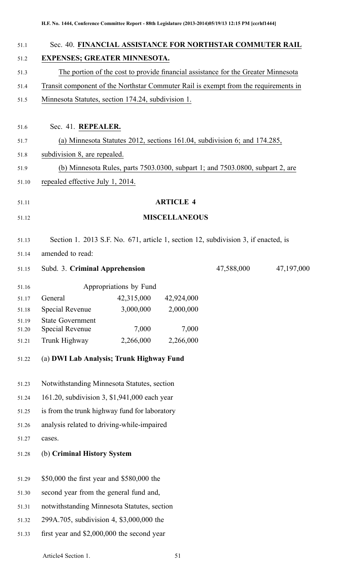| Sec. 40. FINANCIAL ASSISTANCE FOR NORTHSTAR COMMUTER RAIL                                              |                                                                                     |                         |                                                                                |            |
|--------------------------------------------------------------------------------------------------------|-------------------------------------------------------------------------------------|-------------------------|--------------------------------------------------------------------------------|------------|
| <b>EXPENSES; GREATER MINNESOTA.</b>                                                                    |                                                                                     |                         |                                                                                |            |
| The portion of the cost to provide financial assistance for the Greater Minnesota                      |                                                                                     |                         |                                                                                |            |
|                                                                                                        | Transit component of the Northstar Commuter Rail is exempt from the requirements in |                         |                                                                                |            |
| Minnesota Statutes, section 174.24, subdivision 1.                                                     |                                                                                     |                         |                                                                                |            |
| Sec. 41. REPEALER.                                                                                     |                                                                                     |                         |                                                                                |            |
|                                                                                                        |                                                                                     |                         | (a) Minnesota Statutes 2012, sections 161.04, subdivision 6; and 174.285,      |            |
| subdivision 8, are repealed.                                                                           |                                                                                     |                         |                                                                                |            |
|                                                                                                        |                                                                                     |                         | (b) Minnesota Rules, parts 7503.0300, subpart 1; and 7503.0800, subpart 2, are |            |
| repealed effective July 1, 2014.                                                                       |                                                                                     |                         |                                                                                |            |
|                                                                                                        |                                                                                     | <b>ARTICLE 4</b>        |                                                                                |            |
|                                                                                                        |                                                                                     | <b>MISCELLANEOUS</b>    |                                                                                |            |
|                                                                                                        |                                                                                     |                         |                                                                                |            |
| Section 1. 2013 S.F. No. 671, article 1, section 12, subdivision 3, if enacted, is<br>amended to read: |                                                                                     |                         |                                                                                |            |
| Subd. 3. Criminal Apprehension                                                                         |                                                                                     |                         | 47,588,000                                                                     | 47,197,000 |
|                                                                                                        |                                                                                     |                         |                                                                                |            |
|                                                                                                        | Appropriations by Fund                                                              |                         |                                                                                |            |
| General<br>Special Revenue                                                                             | 42,315,000<br>3,000,000                                                             | 42,924,000<br>2,000,000 |                                                                                |            |
| <b>State Government</b>                                                                                |                                                                                     |                         |                                                                                |            |
| Special Revenue                                                                                        | 7,000                                                                               | 7,000                   |                                                                                |            |
| Trunk Highway                                                                                          | 2,266,000                                                                           | 2,266,000               |                                                                                |            |
| (a) DWI Lab Analysis; Trunk Highway Fund                                                               |                                                                                     |                         |                                                                                |            |
| Notwithstanding Minnesota Statutes, section                                                            |                                                                                     |                         |                                                                                |            |
| 161.20, subdivision 3, \$1,941,000 each year                                                           |                                                                                     |                         |                                                                                |            |
| is from the trunk highway fund for laboratory                                                          |                                                                                     |                         |                                                                                |            |
| analysis related to driving-while-impaired                                                             |                                                                                     |                         |                                                                                |            |
| cases.                                                                                                 |                                                                                     |                         |                                                                                |            |
| (b) Criminal History System                                                                            |                                                                                     |                         |                                                                                |            |
| \$50,000 the first year and \$580,000 the                                                              |                                                                                     |                         |                                                                                |            |
| second year from the general fund and,                                                                 |                                                                                     |                         |                                                                                |            |
| notwithstanding Minnesota Statutes, section                                                            |                                                                                     |                         |                                                                                |            |
| 299A.705, subdivision 4, \$3,000,000 the                                                               |                                                                                     |                         |                                                                                |            |
| first year and \$2,000,000 the second year                                                             |                                                                                     |                         |                                                                                |            |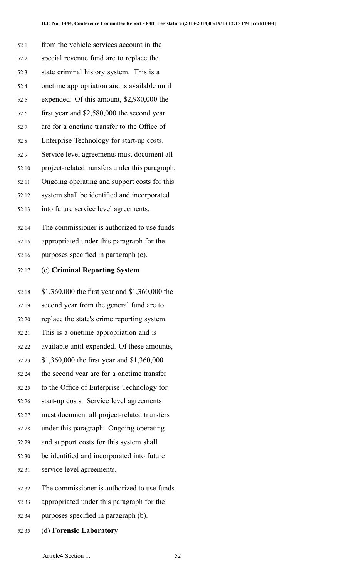| 52.1  | from the vehicle services account in the        |
|-------|-------------------------------------------------|
| 52.2  | special revenue fund are to replace the         |
| 52.3  | state criminal history system. This is a        |
| 52.4  | onetime appropriation and is available until    |
| 52.5  | expended. Of this amount, \$2,980,000 the       |
| 52.6  | first year and \$2,580,000 the second year      |
| 52.7  | are for a onetime transfer to the Office of     |
| 52.8  | Enterprise Technology for start-up costs.       |
| 52.9  | Service level agreements must document all      |
| 52.10 | project-related transfers under this paragraph. |
| 52.11 | Ongoing operating and support costs for this    |
| 52.12 | system shall be identified and incorporated     |
| 52.13 | into future service level agreements.           |
| 52.14 | The commissioner is authorized to use funds     |
| 52.15 | appropriated under this paragraph for the       |
| 52.16 | purposes specified in paragraph (c).            |
|       |                                                 |
| 52.17 | (c) Criminal Reporting System                   |
| 52.18 | \$1,360,000 the first year and \$1,360,000 the  |
| 52.19 | second year from the general fund are to        |
| 52.20 | replace the state's crime reporting system.     |
| 52.21 | This is a onetime appropriation and is          |
| 52.22 | available until expended. Of these amounts,     |
| 52.23 | \$1,360,000 the first year and \$1,360,000      |
| 52.24 | the second year are for a onetime transfer      |
| 52.25 | to the Office of Enterprise Technology for      |
| 52.26 | start-up costs. Service level agreements        |
| 52.27 | must document all project-related transfers     |
| 52.28 | under this paragraph. Ongoing operating         |
| 52.29 | and support costs for this system shall         |
| 52.30 | be identified and incorporated into future      |
| 52.31 | service level agreements.                       |

- 52.33 appropriated under this paragraph for the
- 52.34 purposes specified in paragraph (b).
- 52.35 (d) **Forensic Laboratory**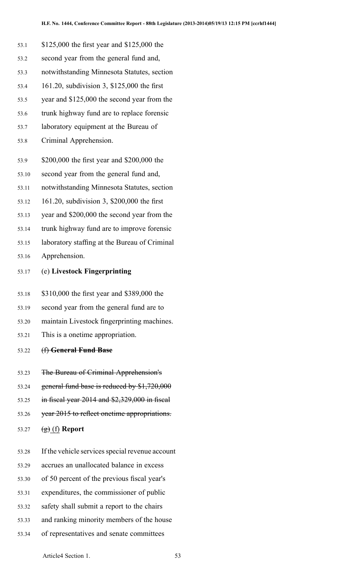- 53.1 \$125,000 the first year and \$125,000 the 53.2 second year from the general fund and, 53.3 notwithstanding Minnesota Statutes, section 53.4 161.20, subdivision 3, \$125,000 the first 53.5 year and \$125,000 the second year from the 53.6 trunk highway fund are to replace forensic 53.7 laboratory equipment at the Bureau of 53.8 Criminal Apprehension. 53.9 \$200,000 the first year and \$200,000 the 53.10 second year from the general fund and, 53.11 notwithstanding Minnesota Statutes, section 53.12 161.20, subdivision 3, \$200,000 the first 53.13 year and \$200,000 the second year from the 53.14 trunk highway fund are to improve forensic 53.15 laboratory staffing at the Bureau of Criminal 53.16 Apprehension. 53.17 (e) **Livestock Fingerprinting** 53.18 \$310,000 the first year and \$389,000 the 53.19 second year from the general fund are to 53.20 maintain Livestock fingerprinting machines. 53.21 This is <sup>a</sup> onetime appropriation. 53.22 (f) **General Fund Base** 53.23 The Bureau of Criminal Apprehension's 53.24 general fund base is reduced by \$1,720,000 53.25 in fiscal year 2014 and \$2,329,000 in fiscal 53.26 year 2015 to reflect onetime appropriations. 53.27 (g) (f) **Report** 53.28 If the vehicle services special revenue account 53.29 accrues an unallocated balance in excess 53.30 of 50 percen<sup>t</sup> of the previous fiscal year's 53.31 expenditures, the commissioner of public
	- 53.32 safety shall submit <sup>a</sup> repor<sup>t</sup> to the chairs
	- 53.33 and ranking minority members of the house
	- 53.34 of representatives and senate committees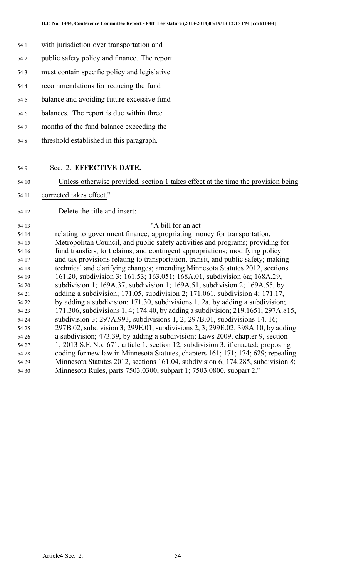- 54.1 with jurisdiction over transportation and
- 54.2 public safety policy and finance. The repor<sup>t</sup>
- 54.3 must contain specific policy and legislative
- 54.4 recommendations for reducing the fund
- 54.5 balance and avoiding future excessive fund
- 54.6 balances. The repor<sup>t</sup> is due within three
- 54.7 months of the fund balance exceeding the
- 54.8 threshold established in this paragraph.
- 54.9 Sec. 2. **EFFECTIVE DATE.**
- 54.10 Unless otherwise provided, section 1 takes effect at the time the provision being
- 54.11 corrected takes effect."
- 54.12 Delete the title and insert:

#### 54.13 "A bill for an act

54.14 relating to governmen<sup>t</sup> finance; appropriating money for transportation, 54.15 Metropolitan Council, and public safety activities and programs; providing for 54.16 fund transfers, tort claims, and contingent appropriations; modifying policy 54.17 and tax provisions relating to transportation, transit, and public safety; making 54.18 technical and clarifying changes; amending Minnesota Statutes 2012, sections 54.19 161.20, subdivision 3; 161.53; 163.051; 168A.01, subdivision 6a; 168A.29, 54.20 subdivision 1; 169A.37, subdivision 1; 169A.51, subdivision 2; 169A.55, by 54.21 adding <sup>a</sup> subdivision; 171.05, subdivision 2; 171.061, subdivision 4; 171.17, 54.22 by adding <sup>a</sup> subdivision; 171.30, subdivisions 1, 2a, by adding <sup>a</sup> subdivision; 54.23 171.306, subdivisions 1, 4; 174.40, by adding <sup>a</sup> subdivision; 219.1651; 297A.815, 54.24 subdivision 3; 297A.993, subdivisions 1, 2; 297B.01, subdivisions 14, 16; 54.25 297B.02, subdivision 3; 299E.01, subdivisions 2, 3; 299E.02; 398A.10, by adding 54.26 <sup>a</sup> subdivision; 473.39, by adding <sup>a</sup> subdivision; Laws 2009, chapter 9, section 54.27 1; 2013 S.F. No. 671, article 1, section 12, subdivision 3, if enacted; proposing 54.28 coding for new law in Minnesota Statutes, chapters 161; 171; 174; 629; repealing 54.29 Minnesota Statutes 2012, sections 161.04, subdivision 6; 174.285, subdivision 8; 54.30 Minnesota Rules, parts 7503.0300, subpart 1; 7503.0800, subpart 2."